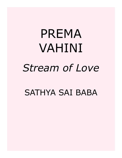# PREMA VAHINI *Stream of Love*

# SATHYA SAI BABA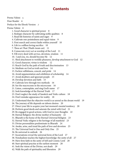# **Contents**

[Prema Vahini 5](#page-4-0) [Dear Reader 6](#page-5-0) [Preface for the Ebook Version 7](#page-6-0) [Prema Vahini 8](#page-7-0) [1. Good character is spiritual power 8](#page-7-0) [2. Reshape character by cultivating noble qualities 8](#page-7-0) [3. Read life histories of saints and sages 9](#page-8-0) [4. Cultivate one-pointedness and equal vision 9](#page-8-0) [5. First search and correct faults within yourself 10](#page-9-0) [6. Life is a selfless loving sacrifice 10](#page-9-0) [7. Thou art That \(Thath-twam-asi\) 11](#page-10-0) [8. Consecrate every act as worship of the Lord 11](#page-10-0) [9. Fill every deed with service, devotion, wisdom 11](#page-10-0) [10. I and you, we, should become He 12](#page-11-0) [11. Shed attachment to worldly pleasures, develop attachment to God 12](#page-11-0) [12. Good character, virtue is wisdom 12](#page-11-0) [13. Reach God by the path of truth and discrimination 13](#page-12-0) [14. Meditate on God as truth and love 14](#page-13-0) [15. Eschew selfishness, conceit, and pride 14](#page-13-0) [16. Avoid argumentation and exhibition of scholarship 14](#page-13-0) [17. Avoid doubters and ignorant people 15](#page-14-0) [18. Develop devotion and faith 15](#page-14-0) [19. Cultivate love through two methods 16](#page-15-0) [20. See the macrocosm in the microcosm 16](#page-15-0) [21. Listen, contemplate, and sing God's name 17](#page-16-0) [22. Seek knowledge of the Eternal Truth 17](#page-16-0) [23. Don't neglect the study of Sanskrit and Vedic culture 18](#page-17-0) [24. Don't mistake appearance for reality 18](#page-17-0) [25. Understand that the objective world is as unreal as the dream world 19](#page-18-0) [26. The journey of life depends on inborn desires 20](#page-19-0) [27. Direct your life to acquire your last moment's mental tendency 20](#page-19-0) [28. Perform good deeds and saturate the mind with God 21](#page-20-0) [29. Be engaged in good actions, with God in your thoughts 22](#page-21-0) [30. Eternal Religion: the divine mother of humanity 22](#page-21-0) [31. Bharath is the home of the Eternal Universal Religion 23](#page-22-0) [32. Eternal Vedic religion is the heritage of all mankind 23](#page-22-0) [33. Divine personalities predominate in Bharath 24](#page-23-0) [34. Awake, arise, and tread the path of love and devotion 25](#page-24-0) [35. The Universal Soul is One and Only One 25](#page-24-0) [36. Be universal in outlook 26](#page-25-0) [37. Incarnations reveal the universal form of the Lord 27](#page-26-0) [38. Nondualism teaches the highest knowledge: the unity of all 27](#page-26-0) [39. Have firm faith in the unity of Self and Cosmic Lord 28](#page-27-0) [40. Start spiritual practise at the earliest moment 28](#page-27-0) [41. Seek the vision of the Divine, not death 29](#page-28-0) [42. Walk the path of spirituality and liberation 29](#page-28-0)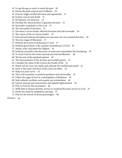- [43. Let go the ego in order to reach the goal 30](#page-29-0)
- [44. Pursue the path of good and Godliness 30](#page-29-0)
- [45. Practise single-minded devotion and equanimity 31](#page-30-0)
- [46. Eschew conceit and doubt 31](#page-30-0)
- [47. Be humane, not demonic 32](#page-31-0)
- [48. Develop the characteristics of genuine devotees 32](#page-31-0)
- [49. Surrender completely to the Lord 33](#page-32-0)
- [50. The nine paths of devotion 33](#page-32-0)
- [51. Devotion is of two kinds: effortful devotion and self-surrender 34](#page-33-0)
- [52. The course of life of a forest dweller 35](#page-34-0)
- [53. External and internal disciplines are necessary for one-pointed devotion 36](#page-35-0)
- [54. The four stages of liberation 37](#page-36-0)
- [55. Perform all actions in dedication to God 37](#page-36-0)
- [56. Perform good deeds, with constant remembrance of God 38](#page-37-0)
- [57. Awake, arise, and attain the Highest 39](#page-38-0)
- [58. Dedicate yourself to the discovery of truth and contemplate the Everlasting 39](#page-38-0)
- [59. To reach God, be free from external and internal illusions 40](#page-39-0)
- [60. The harvest of the spiritual aspirant 40](#page-39-0)
- [61. The characteristics of the devotee and worldly person 41](#page-40-0)
- [62. Consider the name of the Lord as the breath of life 41](#page-40-0)
- [63. Watch out for your own faults and cultivate the truthful and joyful 42](#page-41-0)
- [64. Stick to the name and form of the Lord you adore 42](#page-41-0)
- [65. Help ever, hurt never 43](#page-42-0)
- [66. The Lord incarnates to promote goodness and universality 43](#page-42-0)
- [67. Follow the sages of yore in contemplation of Brahman 44](#page-43-0)
- [68. Seek solitude, meditate, and acquire one-pointedness 44](#page-43-0)
- [69. Uproot internal and external foes and uphold righteousness 45](#page-44-0)
- [70. Pray to God for His incarnation 46](#page-45-0)
- [71. With faith in human divinity, service to mankind becomes service to God 47](#page-46-0)
- [72. Purify the mind by meditation and japa 47](#page-46-0)
- [73. Pray for the advent of divine personages! 48](#page-47-0)

[Glossary 49](#page-48-0)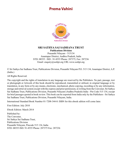# <span id="page-4-0"></span>**Prema Vahini**



### **SRI SATHYA SAI SADHANA TRUST Publications Division**

Prasanthi Nilayam - 515134 Anantapur District, Andhra Pradesh, India STD: 08555 : ISD : 91-8555 Phone: 287375, Fax: 287236 Email: enquiry@sssbpt.org URL www.sssbpt.org

© Sri Sathya Sai Sadhana Trust, Publications Division, Prasanthi Nilayam P.O. 515 134, Anantapur District, A.P. (India.)

All Rights Reserved.

The copyright and the rights of translation in any language are reserved by the Publishers. No part, passage, text or photograph or Artwork of this book should be reproduced, transmitted or utilised, in original language or by translation, in any form or by any means, electronic, mechanical, photo copying, recording or by any information, storage and retrieval system except with the express and prior permission, in writing from the Convener, Sri Sathya Sai Sadhana Trust, Publications Division, Prasanthi Nilayam (Andhra Pradesh) India - Pin Code 515 134, except for brief passages quoted in book review. This book can be exported from India only by the Publishers - Sri Sathya Sai Sadhana Trust, Publications Division, Prasanthi Nilayam, India.

International Standard Book Number 81-7208-344-0: ISBN for this ebook edition will come later.

First Edition: July 2010

Ebook Edition: March 2014

Published by: The Convener, Sri Sathya Sai Sadhana Trust, Publications Division Prasanthi Nilayam, Pincode 515 134, India STD: 08555 ISD: 91-8555 Phone: 287375 Fax: 287236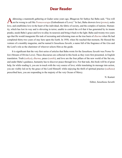# **Dear Reader**

<span id="page-5-0"></span>Addressing a mammoth gathering at Gudur some years ago, Bhagavan Sri Sathya Sai Baba said, "You will not be wrong to call Me *Premaswarupa* (Embodiment of Love)." In fact, Baba showers love (*prema*), seeks love, and establishes love in the heart of the individual, the fabric of society, and the complex of nations. Humanity, which has lost its way and is shivering in terror, unable to control the evil that it has generated by its insane pranks, needs Baba's grace and love to allay its neurosis and bring it back to the light. Baba said twenty-two years ago that He would inaugurate His task of recreating and reforming man on the true basis of *[dharma](#page-51-0)* when He had completed thirty-two years of stay here upon the Earth. In 1958, when He reached that moment, He blessed the venture of a monthly magazine, and he named it *[Sanathana Sarathi](#page-60-0)*, a name full of the fragrance of the *[Gita](#page-52-0)* and the Lord's role as the charioteer of whoever selects Him as the guide.

It is significant that the very first series of articles that Baba wrote for the *[Sanathana Sarathi](#page-60-0)* was *Prema Vahini* (Stream of Divine Love). These discourses are collected in this book as they were first presented, in English translation. Truth (*sathya*), *[dharma](#page-51-0)*, peace (*[santhi](#page-60-1)*), and love are the four pillars of the new world of the Sai era, and under Baba's guidance, humanity has to discover peace through love. For that task, this book will be of great help, for while reading it, you are in touch with the very source of love; while translating its message into action, you are visibly led on by the grace of the Lord Himself; while enjoying the thrill of spiritual practice (*[sadhana](#page-59-0)*) prescribed here, you are responding to the majesty of the very Ocean of Mercy.

N. Kasturi

Editor, *[Sanathana Sarathi](#page-60-0)*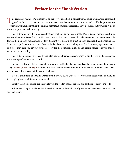# **Preface for the Ebook Version**

<span id="page-6-0"></span>This edition of *Prema Vahini* improves on the previous edition in several ways. Some grammatical errors and typos have been corrected, and several sentences have been rewritten to smooth and clarify the presentation —of course, without disturbing the original meaning. Some long paragraphs have been split in two where it made sense and provided easier reading.

Sanskrit words have been replaced by their English equivalents, to make *Prema Vahini* more accessible to readers who do not know Sanskrit. However, most of the Sanskrit words have been retained (in parentheses, following their English replacements). Many Sanskrit words have no exact English equivalent, and retaining the Sanskrit keeps the edition accurate. Further, in the ebook version, clicking on a Sanskrit word, a person's name, or a place may take you directly to the Glossary for the definition; a link on you reader should take you back to where you were reading.

Sanskrit compounds have been hyphenated between their constituent words to aid those who like to analyze the meanings of the individual words.

Several Sanskrit words have made their way into the English language and can be found in most dictionaries —e.g. *[dharma](#page-51-0)*, *[guru](#page-53-0)*, and *yoga*. These words have generally been used without translation, although their meanings appear in the glossary at the end of the book.

Besides definitions of Sanskrit words used in *Prema Vahini*, the Glossary contains descriptions of many of the people, places, and literature mentioned.

Finally, the ebook edition generally lets you, the reader, choose the font and font size to suit your needs.

With these changes, we hope that the revised *Prema Vahini* will be of great benefit to earnest seekers in the spiritual realm.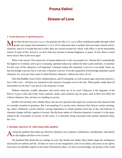# **Prema Vahini**

# **Stream of Love**

### <span id="page-7-0"></span>**1. Good character is spiritual power**

Tore than all previous eras (*yugas*), the present one (the *[Kali-yuga](#page-54-0)*) offers multifarious paths through which **IVI** people can acquire discrimination (*viveka*). If it is education that is needed, there are many schools and institutions, and if it is wealth that one is after, there are various avenues by which, with effort, it can be honourably earned. In spite of this, however, we don't find any increase in human happiness or peace. In fact, there is much more misery than in previous ages!

What is the reason? The reason lies in human behaviour, in the way people live. Human life is undoubtedly the highest in evolution, and to give it meaning, spiritual endeavour, endeavour that is pure and holy, is essential. For this way of life, character is all important. Character makes life immortal; it survives even death. Some say that knowledge is power, but it is not true. Character is power. Even the acquisition of knowledge demands a good character. So, everyone must yearn to attain flawless character, without any trace of evil.

Note that [Buddha,](#page-51-1) [Jesus Christ,](#page-53-1) [Sankaracharya,](#page-60-2) and [Vivekananda,](#page-64-0) as well as great sages and saints and devotees of the Lord —all these are treasured in the memory of people even to this day. What quality made them all memorable for all time? I say that it is the character of each.

Without character, wealth, education, and social status are of no avail. Character is the fragrance of the flower; it gives value and worth. Poets, painters, artists, and scientists may be great, each in their own field, but without character, they can have no standing in society.

Doubts will certainly arise whether those who are now greeted with respect by society have the character that we consider essential to greatness. But I am speaking of a society and a character that cling to certain unchanging values. Ordinarily, society attaches varying importance to certain qualities from day to day, and fashions in character change with the vagaries of society. But the basic nature of a flawless character is eternal; it is the same, whatever the vicissitudes of society. In this sense, it is immortal, being associated with another immortal entity, the *[Atma](#page-49-0)*.

### **2. Reshape character by cultivating noble qualities**

mong the qualities that make up a flawless character, love, patience, forbearance, steadfastness, and charity **T** are the highest and have to be revered.

The hundred little deeds that we indulge in every day harden into habits; these habits shape the intelligence and mould our outlook and life. All that we weave in our imagination, seek in our ideals, and yearn in our aspirations leave an indelible imprint on the mind. Distorted by these, we form our knowledge, our picture of the world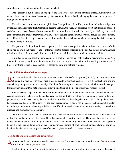<span id="page-8-0"></span>around us, and it is to this picture that we get attached.

One's present is but the result of one's past and the habits formed during that long period. But whatever the nature of the character that one has come by, it can certainly be modified by changing the accustomed process of thought and imagination.

The wickedness of nobody is incorrigible. Wasn't Angulimala, the robber, turned into a kindhearted person by the [Buddha?](#page-51-1) Didn't the thief Rathnakara become [Valmiki](#page-63-0), the sage? By conscious effort, habits can be changed and character refined. People always have within them, within their reach, the capacity to challenge their evil propensities and to change their evil habits. By selfless service, renunciation, devotion, prayer, and ratiocination, the old habits that bind people to earth can be discarded and new habits that take them along the divine path can be instilled into their lives.

The purpose of all spiritual literature, poems, epics, books, and periodicals is to discuss the nature of this character, its ways and vagaries, and to inform about the process of reshaping it. The *[Sanathana Sarathi](#page-60-0)* has just this aim in view; it does not seek either the exhibition of erudition or the acquisition of name and fame.

But it has to be said that the mere reading of a book or journal will not vouchsafe discrimination (*viveka*). That which is seen, heard, or read must be put into practice in actual life. Without this, reading is mere waste of time. If anything is read to pass the time, it passes the time and nothing remains.

### **3. Read life histories of saints and sages**

Books are available in plenty, and at very cheap prices. The [Vedas](#page-63-1), scriptures ([sastras](#page-60-3)), and [Puranas](#page-58-1) can be obtained and read by everyone. There is also no dearth of spiritual teachers ([gurus](#page-53-0)). Schools abound and are ostensibly granting the boon of knowledge. Facilities for training the mind are plenty and within reach. And yet, from nowhere is heard the note of content at having partaken of the nectar of spiritual wisdom (*[jnana](#page-53-2)*).

When I see the heaps of books that lie around everywhere, I feel that the wisdom inside a book cannot succeed in penetrating the heavy binding and emerge into the light. God is hidden by the mountain ranges of lust, anger, envy, and selfishness. So too, the sun of wisdom is hidden by these huge heaps of books. Though these books have spread to all corners of the earth, we can't say that culture or wisdom has increased; the human is still not far from the ape. An attractive binding and title, a beautiful picture —these are what the reader seeks, viz. transitory pleasure and momentary contentment.

Only those who, by means of discrimination, select the books they read and practice what they read can realise truth and enjoy everlasting bliss. Only those people live worthwhile lives. Therefore, those who seek the highest path and who revel in thoughts of God should strive to read only the life histories of saints and sages and books that help the contemplation of the Divine. Aimless reading of books all and sundry, whatever comes to hand, will make confusion only worse confounded. It gives no profit; it confers no peace.

### **4. Cultivate one-pointedness and equal vision**

Above all, cultivate one-pointed steadfastness (*ekagratha*) in whatever you do. Impartial vision (*[sama-drishti](#page-59-1)*) is auspicious vision (*subha-drishti*).

The lion, though king of the forest, turns back every few steps while walking through the woods, because it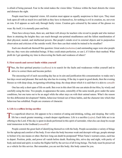<span id="page-9-0"></span>is afraid of being pursued. Fear in the mind makes the vision falter. Violence within the heart distorts the vision and distracts the sight.

People must have impartial vision. All creation must appear as equally auspicious to their eyes. They must look upon all with as much love and faith as they have in themselves, for nothing is evil in creation, no, not even an iota. Evil appears as such only through faulty vision. Creation gets coloured by the nature of the glasses we

wear. By itself, it is eternally pure and holy.

There have always been, there are, and there will always be teachers who reveal to people and who instruct them in attaining the heights they can reach through one-pointed steadfastness and the fullest manifestation of their physical, mental, and intellectual powers. But people's minds revel in external objects and in purposeless observation and criticism of the outside world. How then can their minds be trained to be steadfast?

Each one should ask themself this question: Great souls (*[mahatmas](#page-55-0)*) and outstanding sages were also people like me; they were also embodied beings. If they could attain perfection, so can I, if I follow their method. What profit do I get spending my time in discovering the faults and weakness of others?

### **5. First search and correct faults within yourself**

Thus, the first spiritual practice (*[sadhana](#page-59-0)*) is to search for the faults and weaknesses within yourself and to If strive to correct them and become perfect.

The unceasing toil of each succeeding day has as its aim and justification this consummation: to make one's last days sweet and pleasant. But each day also has its evening. If the day is spent in good deeds, then the evening blesses us with deep sleep, invigorating refreshing sleep, the sleep about which it is said that it is akin to *[samadhi](#page-59-2)*

One has only a short span of life on earth. But even in this short life one can attain divine bliss, by wisely and carefully using the time. Two people, in appearance the same, ostensibly of the same mould, grow under the same conditions, but one turns out to be an angel while the other stays on with their animal nature. What's the reason for this differential development? Habits, behaviour formed out of these habits, and the character into which that behaviour has solidified. People are creatures of character.

### **6. Life is a selfless loving sacrifice**

To a superficial observer, life appears to be a rotation of eating and drinking, toiling, and sleeping. But verily<br>life has a much greater meaning, a much deeper significance. Life is a sacrifice (yajna). Each little act i offering to the Lord. If the day is spent in deeds performed in this spirit of surrender, what else can sleep be except total immersion in the Godhead (*[samadhi](#page-59-2)*)?

People commit the great fault of identifying themselves with the body. People accumulate a variety of things for the upkeep and comfort of the body. Even when the body becomes weak and decrepit with age, people attempt to bolster it by one means or other. But how long can death be postponed? When [Yama'](#page-64-1)s warrant comes, each has to depart. Position, pride, and power all vanish before death. Realising this, strive day and night, with purity of body and mind and spirit, to realise the Higher Self by the service of all living beings. The body must be preserved as a vehicle for this service. But remember, you are not this body; this body cannot be you.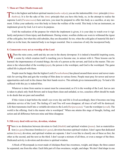### <span id="page-10-0"></span>**7. Thou art That (Thath-twam-asi)**

[T](#page-49-2)his is the highest and holiest spiritual maxim (*[maha-vakya](#page-55-1)*); you are the indestructible *[Atmic](#page-49-1)* principle (*[Atma](#page-49-2)thathwa*). It is for the sake of the *Atmic* principle that you have this body, so, in the attempt to realise the supreme Lord (*[Parameswara](#page-57-0)*) here and now, you must be prepared to offer this body as a sacrifice, at any moment. Utilise your authority over this body to foster the welfare of the world. This body is but an instrument, an implement given by God. Let it serve its purpose.

Until the realisation of the purpose for which the implement is given, it is your duty to watch over it vigilantly and protect it from injury and disablement. During winter, woollen clothes are worn to withstand the rigour of the cold gales, but when the cold subsides, they are discarded. So too, when the cold gales of material life don't affect us in the least, the material body is no longer essential. One is conscious of only the incorporeal body.

### **8. Consecrate every act as worship of the Lord**

When the rains come, earth and sky are one in the sheety downpour. It is indeed a beautiful inspiring scene, a scene by which creation itself is teaching you to become one, in unison with it. Three lessons can be learned: the impermanence of created things, the role of a person as the servant, and God as the master. This creation is the wherewithal of the worship (*[puja](#page-58-2)*), the person is the worshiper, and God is the worshiped. The game called life is played with these.

People must be happy that the highest Lord (*[Purushothama](#page-58-3)*) has placed around them newer and newer materials for serving Him and gets the worship of Him done in various forms. People must pray for newer and newer opportunities and exult in the chance that their hands receive. This attitude gives immeasurable joy. To lead a life suffused with this joy is indeed bliss.

Whatever is done from sunrise to sunset must be consecrated, as if it is the worship of the Lord. Just as care is taken to pluck only fresh flowers and to keep them clean and unfaded, so too, ceaseless effort should be made to do deeds that are pure and unsullied.

If this vision is kept before the mind's eye every day and life is lived accordingly, then it becomes one long unbroken service of the Lord. The feeling of I and You will soon disappear; all trace of self will be destroyed. Life then transmutes itself into a veritable devotion to the Lord (*[Hariparayana](#page-53-3)*). "I am the worshiper (*sevak*). The world is the offering. God is the master who is worshiped." When one attains this stage of thought, feeling, and action and all difference between mine and thine disappear.

### **9. Fill every deed with service, devotion, wisdom**

There is no distinction between devotion to God (*[bhakthi](#page-50-0)*) and spiritual wisdom (*[jnana](#page-53-2)*). Just as materialization (*sa-guna*) becomes formless (*nir-guna*), devotion becomes spiritual wisdom. I don't agree that dedicated action (*[karma](#page-54-1)*), devotion, and spiritual wisdom are separate. I don't even like to classify one of these as first, the other as the second, and the next as the third. I don't accept a mixture of all three, or even a merger of the three. Dedicated activity is devotion and devotion is spiritual wisdom.

A block of Mysorepaak (a sweet made of chickpea flour) has sweetness, weight, and shape; the three cannot be separated, one from the other. Each little part of it has sweetness, weight, and shape. We don't find shape in one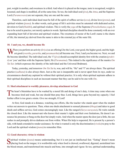<span id="page-11-0"></span>part, weight in another, and sweetness in a third. And when it is placed on the tongue, taste is recognised, weight is lessened, and shape is modified, all at the same time. So too, the individual soul (*[jiva](#page-53-4)*), the *[Atma](#page-49-0)*, and the Supreme Lord (*[Parameswara](#page-57-0)*) are not separate; they are one and the same.

Therefore, each individual deed must be full of the spirit of selfless service (*seva*), divine love (*[prema](#page-58-0)*), and spiritual wisdom (*[jnana](#page-53-2)*). In other words, each group of life's activities must be saturated with dedicated action, devotion to God (*[bhakthi](#page-50-0)*), and spiritual wisdom. This is verily the *yoga* of the Supreme (*[Purushothama-](#page-58-3)yoga*). It has to be acted in practice, not merely spoken in words. Spiritual discipline should be done constantly with an ever expanding heart full of devotion and spiritual wisdom. The sweetness of nectar of the Lord's name is the charm of life; the internal joy derived from the name is akin to the external joy of the outer life.

### **10. I and you, we, should become He**

When you perform an activity ([kriya](#page-55-2)) as an offering12to the Lord, your good, the higher good, and the high-<br>est good (swartha, parartha, and [paramaartha](#page-57-2)) all become one. First, I and you become we. Next, we and He become identified. The individual soul, the 'I' (*[jiva](#page-53-4)*) should accomplish identity first with the creation (*[prakri](#page-57-3)[ti](#page-57-3)*) or 'you' and then with the Supreme Spirit, He (*[Paramatma](#page-57-4)*). This indeed is the significance of the mantra *[Om](#page-57-5) [Tat Sat](#page-57-5)*. (which expresses the identity of the individual and the Universal [Brahman\)](#page-50-1).

Today, yesterday, and tomorrow *[Om Tat Sat](#page-57-5)* is, was, and will be. "He" and "I" are always there. The spiritual practice (*[sadhana](#page-59-0)*) is also always there. Just as the sun is inseparable and is never apart from its rays, under no circumstances should any aspirant be without their spiritual practice. It is only when spiritual aspirants adhere to their spiritual disciplines in such an incessant manner that they can be said to be one with *[Om](#page-57-6)*.

### **11. Shed attachment to worldly pleasures, develop attachment to God**

The heart's blemishes have to be washed by a moral life and doing of one's duty. A time may come when one becomes tired and weak, but one should then pray thus: Lord, things have gone beyond my capacity. I feel further effort is too great a strain. Give me strength, O Lord!

At first, God stands at a distance, watching one efforts, like the teacher who stands apart when the student writes out answers to questions. Then, when one sheds attachment to sensual pleasures (*[bhoga](#page-50-2)*) and takes to good deeds and selfless service, God comes encouragingly near. Like the sungod (*[Surya-narayana](#page-62-0)*), He waits outside the closed door. Like the manservant who knows their master's rights and their own limitations, He doesn't announce his presence or bang on the door but simply waits. And when the master opens the door just a little, the sun rushes in and promptly drives darkness out from within. When His help is requested, He is present by a person's side, with hands extended to render assistance. So what is wanted is only the discrimination (*viveka*) to pray to the Lord and the spiritual wisdom (*[jnana](#page-53-2)*) to remember Him.

### **12. Good character, virtue is wisdom**

Spiritual wisdom ([jnana](#page-53-2)) means understanding, but it is not just an intellectual feat. "Eating" doesn't mean<br>placing food on the tongue; it is worthwhile only when food is chewed, swallowed, digested, assimilated into the blood stream, and transformed into muscle and bone, into strength and vigour. So too, spiritual understanding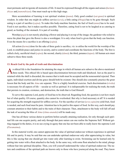<span id="page-12-0"></span>must permeate and invigorate all moments of life. It must be expressed through all the organs and senses (*[karmen](#page-54-2)[driyas](#page-54-2)* and *[jnanendriyas](#page-54-3)*). One must reach up to this high stage.

Mere accumulation of learning is not spiritual wisdom (*[jnana](#page-53-2)*). Only good conduct (*sat-guna*) is spiritual wisdom. In order that one might do selfless service (*seva*), a little eating (*[bhoga](#page-50-2)*) has to be gone through. Such eating is a part of sacrifice (*yajna*). To make this body-machine function, the fuel of food (*[anna](#page-48-1)*) has to be used. Food is not sacrifice, but it makes sacrifice possible. Therefore, eating food is not to be laughed at as catering to greed, as feeding of the stomach. It is part of worship.

Worship (*[puja](#page-58-2)*) is not merely plucking a flower and placing it on top of the image; the gardener who toiled to nurse the plant that gave the flower is also a worshipper. It is only when food is given that the body can function. Even the means for a sacrifice is an offering (*yajna*).

All action (*[karma](#page-54-1)*) done for the sake of three goals is sacrifice, viz. to utilise the world for the worship of the Lord, to establish peace and justice in society, and to control and coordinate the functions of the body. The first is called a holy, sacrificial ritual (*yajna*); the second, charity (*[dana](#page-51-2)*); the third, penance (*tapas*). All human acts must subserve these three needs.

### **13. Reach God by the path of truth and discrimination**

An ethical life is the foundation for attaining the stage in which all human acts subserve the above-mentioned three needs. This ethical life is based upon discrimination between truth and falsehood. Just as the pearl is retained while the shell is discarded, the essence that is truth must be accepted and the nonessential rejected. Then again, individual exertion and divine grace should both be existent. One should also constantly practice the great lesson that the body and the *[Atma](#page-49-0)* are separate. This is a highly beneficial exercise. Such discrimination (*viveka*) is necessary for all aspects of life —secular as well as spiritual. It is indispensable for realising the truth, the truth that persists in creation, existence, and destruction, the truth that is God Himself.

To serve this supreme Lord, purity of food has to be observed. Regarding food, the question is not how much but of what quality. Of course, quantity also cannot be overlooked. But why is food necessary at all? It is needed for acquiring the strength required for selfless service. For the sacrifice of service (*seva-yajna*) to yield fruit, food is needed, and such food must be pure. Attention has to be paid to this aspect of food. In this way, each should pay constant attention to their habits and to the traits of their character. Then, attachment to the body will fall off and the task of securing the bliss of *[Atma](#page-49-0)* (*[Atma-ananda](#page-49-3)*) will be made easy.

One has all these various duties to perform before actually attaining realisation, for only through such spiritual life can one acquire purity, and only through that pure nature can one realise the Supreme Self. Without getting engaged in the duties, it is no use crying in agony that one has not been able to really know the supreme Lord (*[Paramatma](#page-57-4)*).

In this material world, one cannot appreciate the value of spiritual endeavour without experience in spiritual life and its purity. It may be said that one can undertake spiritual endeavour only after appreciating its value, but this is like saying that one should get into water only after learning to swim. Swimming can be learned only by getting into water with a float attached to the body. In the same way, with some float attached to the mind, plunge without fear into spiritual discipline. Then, you will yourself understand the value of spiritual endeavour. The nature and conditions of the spiritual path are known only to those who have journeyed along the road. They know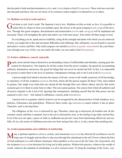<span id="page-13-0"></span>that the path of truth and discrimination (*sathya* and *viveka*) leads to God (*[Paramatma](#page-57-4)*). Those who have not trodden that path and those who are not aware of its existence cannot explain it to themselves or to others.

### **14. Meditate on God as truth and love**

God alone is real. God is truth. The Supreme Lord is love. Meditate on Him as truth, as love. It is possible to realise Him in whatever form you meditate upon. Be always in the good company (*sath-sang*) of His devotees. Through this good company, discrimination and renunciation (*viveka* and *vairagya*) will be implanted and increased. These will strengthen the spirit and endow you with inner peace. Your mind will then merge in God.

In everything you do, speak and act truthfully, using all the strength and talent with which you are endowed. At first, you might fail in this and encounter difficulties and sufferings. But, ultimately, you are bound to succeed and achieve victory and bliss. Only truth conquers, not untruth (*satyameva jayathe, naanritham*). By your behaviour, through your way of life, you can realise the truth; you can realise God (*[Paramatma](#page-57-4)*).

### **15. Eschew selfishness, conceit, and pride**

People create and develop in themselves an abounding variety of selfish habits and attitudes, causing great dis-<br>content for themselves. The impulse for all this comes from the power complex, the greed for accumulating authority, domination, and power, the greed for things that can never be eternal and full. In fact, it is impossible for anyone to attain them to the level of satiation. Omnipotence belongs only to the Lord of all (*[Sarveswara](#page-60-4)*).

A person might feel elated to become the master of all arts, owner of all wealth, possessor of all knowledge, or repository of all the scriptures (*[sastras](#page-60-3)*), but from whom did the person acquire all these? They must indeed be greater. One might even claim that one earned all this through their own efforts, labour, and toil. But surely someone gave it to them in some form or other. This one cannot gainsay. The source from which all authority and all power originate is the Lord of all. Ignoring that omnipotence, deluding oneself that the little power one has acquired is one's own —this indeed is selfishness, conceit, pride (*[ahamkara](#page-48-2)*).

A person who is a genuine vehicle of power can be recognised by the characteristics of truth, kindness, love, patience, forbearance and gratefulness. Wherever these reside, ego (*[ahamkara](#page-48-2)*) cannot subsist; it has no place. Therefore, seek to develop these.

The effulgence of the *[Atma](#page-49-0)* is obscured by ego. Therefore, when ego is destroyed, all troubles end, all discontents vanish, and bliss is attained. Just as the sun is obscured by mist, so the feeling of ego hides eternal bliss. Even if the eyes are open, a piece of cloth or cardboard can prevent vision from functioning effectively and usefully. So too, the screen of selfishness prevents one from seeing God, who is, in fact, nearer than anything else.

### **16. Avoid argumentation and exhibition of scholarship**

Many a spiritual aspirant ([sadhaka](#page-59-4)), recluse, and renunciant ([sanyasin](#page-60-5)) has allowed all excellences won by<br>
Mong years of struggle and sacrifice to slip away through this attachment to the self. Power without the bliss of God-realisation is a wall without a basement. Mere punditry is of no use at all; the *[Vedas](#page-63-1)*, the *[Upanishads](#page-62-1)*, and the scriptures (*[sastras](#page-60-3)*) are doctrines for living out in daily practice. Without this practice, whatever the wealth of words, whatever the standard of scholarship, it is all a colossal waste. To bring the teachings of the *[Vedas](#page-63-1)*, *[Upa-](#page-62-1)*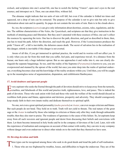<span id="page-14-0"></span>*[nishads](#page-62-1)*, and scriptures into one's actual life, one has to scotch the feeling "I know", open one's eyes to the real essence, and introspect on it. Then, one can attain bliss, without fail.

The almanac might indicate that ten units of rain will fall, but even if the calendar is folded ten times and squeezed, not a drop of rain can be extracted. The purpose of the calendar is not to give rain but only to give information about rain and its quantity. Its pages do not contain the ten units of rain. Rain is in the clouds above.

So, too, the scriptures (*[sastras](#page-60-3)*) can give only information about doctrines, axioms, rules, regulations, and duties. The sublime characteristics of the *[Vedas](#page-63-1)*, the *[Upanishads](#page-62-1)*, and scriptures are that they give instruction in the methods of attaining peace and liberation. But they aren't saturated with these essences of bliss; one can't collect the essences by squeezing the texts. One has to discover the path, direction, and goal as described in them; then, one has to tread the path, follow the direction, and reach the goal. However, if the I-consciousness produces the pride "I know all", a fall is inevitable; the delusion causes death. The secret of salvation lies in the realisation of this danger; rebirth is inevitable if this danger is not averted.

Aware of all this, if you get immersed in spiritual practice, the world and its worries will not affect you. It is only when you are far from this truth that you suffer, feel pain, and experience travail. At a distance from the bazaar, one hears only a huge indistinct uproar. But as one approaches it and walks into it, one can clearly distinguish the separate bargainings. So too, until the reality of the Supreme (*[Paramatma](#page-57-4)*) is known to you, you are overpowered and stunned by the uproar of the world; but once you enter deep into the realm of spiritual endeavour, everything becomes clear and the knowledge of the reality awakens within you. Until then, you will be caught up in the meaningless noise of argumentation, disputation, and exhibitionist flamboyance.

### **17. Avoid doubters and ignorant people**

Every aspirant who seeks the Eternal through the path of devotion should strive to keep away from the turmoils, cruelties, and falsehoods of this world and practice truth, righteousness, love, and peace. This is indeed the path of devotion. Those who seek union with God and those who seek the welfare of the world should discard as worthless both praise and blame, appreciation and derision, prosperity and adversity. They should courageously keep steady faith in their own innate reality and dedicate themselves to spiritual uplift.

No one, not even a great spiritual personality (*[maha-purusha](#page-55-3)*) or *[Avatar](#page-49-4)*, can ever escape criticism and blame. But such people do not bend. They hold on to truth. Truth will not yield to threats. The real nature of the great sage or the *[Avatar](#page-49-4)* is realised by those who indulge in criticism or blame only after they wade through unbearable trouble; then they also start to praise. The weakness of ignorance is the cause of this failure. So, let aspirants keep away from all such waverers and ignorant people and desist from discussing their beliefs and convictions with them. Let them become immersed in holy books and be in the company of devotees of the Lord. Later, rich with the experience of realisation and courageous on account of that contact with reality, they can mix in any company without danger and even endeavour to direct other minds on to the truth that they themselves have seen.

### **18. Develop devotion and faith**

Three types can be recognised among those who seek to do good deeds and tread the path of self-realisation. 1. Those who are too frightened by troubles, losses, and difficulties to begin the endeavour. They are of the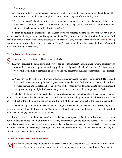<span id="page-15-0"></span>lowest type.

- 2. Those who, after having undertaken the journey and gone some distance, are depressed and defeated by obstacles and disappointments and give up in the middle. They are of the middling type.
- 3. Those who steadfastly adhere to the path with calmness and courage, whatever the nature of the travail, however hard the road; these are, of course, of the highest type. This steadfastness, this faith and constancy, is the characteristic of the devotee (*[bhaktha](#page-50-3)*).

You may be deluded by attachment to this illusory world and attracted by temporal joy, but don't barter away the means of achieving permanent and complete happiness. Carry on your spiritual duties with full devotion. God cannot be known without faith and steadfastness. The Lord comes only through supreme devotion (*[para-bhakthi](#page-57-7)*); supreme devotion only through spiritual wisdom (*[jnana](#page-53-2)*); spiritual wisdom only through faith (*sraddha*); and faith, only through love (*[prema](#page-58-0)*).

### **19. Cultivate love through two methods**

- So how is love to be cultivated? Through two methods:<br>
1. Always consider the faults of others, however big, to be insignificant and negligible. Always consider your own faults, however insignificant and negligible, to be big, and feel sad and repentant. By these means, you avoid developing bigger faults and defects and you acquire the qualities of brotherliness and forbearance.
	- 2. Whatever you do, with yourself or with others, do it remembering that God is omnipresent. He sees and hears and knows everything. Whatever you speak, remember that God hears every word; discriminate between the true and the false and speak only the truth. Whatever you do, discriminate between right and wrong and do only the right. Endeavour every moment to be aware of the omnipotence of God.

The body is the temple of the individual (*[jiva](#page-53-4)*), so whatever happens in that temple is the concern of the individual. So too, the world is the body of the Lord, and all that happens in it, good or bad, is His concern. From the observed fact of the individual and the body, know the truth of the unobservable fact of the Lord and the world.

The relationship of the individual (*[jiva](#page-53-4)*) and the Lord, the kinship between the two, can be grasped by everyone who acquires three chief instruments: (1) a mind unsullied by attachment and hatred, (2) a speech unsullied by falsehood and (3) a body unsullied by violence.

Joy and peace do not inhere in external objects; they are in you yourself. But in your foolishness, you search for them outside yourself in a world from which, today or tomorrow, you are bound to depart. Therefore, awake soon. Try to know the essence of everything, the eternal truth. Try to experience the love that is God (*[Paramatma](#page-57-4)*) itself. Discriminate at every turn, accepting what is true and discarding the rest. As long as you have worldly desires in view, you cannot escape sorrow.

### **20. See the macrocosm in the microcosm**

Many people slander image worship, but its basis is really one's capacity to see the macrocosm in the mi-crocosm. The value of image worship is testified by experience; it doesn't depend on one's imaginative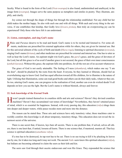<span id="page-16-0"></span>faculty. What is found in the form of the Lord (*[Virat-swarupa](#page-63-2)*) is also found, undiminished and unalloyed, in the image form (*swarupa*). Images serve the same purpose as metaphors and similes in poetry. They illustrate, amplify, and clarify.

Joy comes not through the shape of things but through the relationship established. Not any child but her child makes the mother happy. So also with each one and with all things. With each and every thing in the universe, if one establishes that kinship, that Godly love (*[Iswara](#page-53-5) [prema](#page-58-0)*), then truly an overpowering joy can be experienced! Only those who have felt it can understand.

### **21. Listen, contemplate, and sing God's name**

*Vedas* and *[Puranas](#page-58-1)* deserve to be read and heard. God's name is to be recited and listened to. For some ailments, medicines are prescribed for external application while for others, they are given for internal use. But for this universal ailment of the cycle of birth and death (*[bhava-roga](#page-50-4)*), listening to spiritual discourses (*sravana*), singing God's name (*[kirtana](#page-55-4)*), and other medicines are prescribed for external and internal use. One has to utter as well as hear the Lord's name. An aspirant might win God's grace, the *[guru](#page-53-0)*'s grace, and the grace of devotees of the Lord, but all this grace is of no avail if another grace is not secured, the grace of their own inner consciousness (*[anthah-karana](#page-48-3)*). Without this grace, the aspirant falls into perdition, for all the rest are of no account whatsoever.

The grace of God is not easily attainable. The feeling of I-ness (*[ahamkara](#page-48-2)*), which makes one say "I am the doer", should be plucked by the roots from the heart. Everyone, be they learned or illiterate, should feel an overwhelming urge to know God. God has equal affection toward all His children, for to illumine is the nature of light. Utilising that illumination, some can read good books and others can do their daily tasks, whatever they are. So too, uttering God's name, one can progress in the realisation of God, another can even do wicked deeds! It all depends on how you use the light. But the Lord's name is without blemish, always and forever.

### **22. Seek knowledge of the Eternal Truth**

Haven't people trained themselves in countless skills and arts and sciences? Haven't they devised countless machines? Haven't they accumulated vast tomes of knowledge? Nevertheless, they haven't attained peace of mind, which is so essential for happiness. Instead, with every passing day, this education (*vidya*) drags them into deeper and deeper waters, while peace recedes more and more into the distance.

The reason can be stated thus. These arts and sciences have only transitory value; these machines cater to worldly comfort; this knowledge is all about temporary, transitory things. This education does not reveal the innermost secret of the universe.

There is one secret that, if known, lays bare all secrets. There is one problem that, if solved, solves all others; there is one knot that, if untied, loosens all knots. There is one science that, if mastered, masters all. That key science is spiritual education (*[sanathana](#page-60-6) vidya*).

If a tree has to be destroyed, its tap root has to be cut. There is no use trying to kill it by plucking its leaves one by one, for it takes too long and it may not work. The ancient *[Vedic](#page-63-3)* seers knew this spiritual education (*vidya*), but Indians are becoming ashamed to claim the seers as their kith and kin.

The seers saw God through their ascetic endeavours and won His Grace. They expounded the science that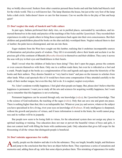<span id="page-17-0"></span>they so boldly discovered. Seekers from other countries perused these books and said that India had blazed a trail for the whole world. This is a well-known fact. The lamp illumines the house, but just at the very foot of the lamp lurks a dark circle. India doesn't know or care for that treasure. Can we ascribe this to the play of fate and keep quiet?

### **23. Don't neglect the study of Sanskrit and Vedic culture**

In past ages, Indians performed their daily rites, sat in purified places, surrounded by sacredness, and immersed themselves in the study and practice of the teachings of the *[Vedas](#page-63-1)* and the *[Upanishads](#page-62-1)*. They recorded their experiences in order to guide others to bring those experiences back again into their own consciousness. But their children and grandchildren placed the books on the altar and duly worshiped them. Neglect reduced them to dust or lumber; the palm leaves disintegrated, and rats ate into them.

Eager students from the West have sought out this lumber, realising that it enshrines incomparable sources of illumination and priceless pearls of wisdom. They lift it reverentially above their heads and acclaim it as the precious gift of the continent of [Bharath](#page-50-5) (*[Bharatha-khanda](#page-50-6)*) to themselves and their children. They carry it across the seas with joy in their eyes and thankfulness in their hearts.

Shall I reveal what the children of India have been doing? They don't open the pages, peruse the contents or even concern themselves with them. Only one in a million reads them, but even he is ridiculed as a fool and a crank. People laugh at the books as a conglomeration of lies and legends and argue about the historicity of the books and their authors. They dismiss Sanskrit as "very hard to learn" and pass on the treasure to scholars from other lands. What a sad spectacle this is! It would have been some compensation if they attended carefully to the study of their mother tongue, but even this they fail to do. It is neglect; neglect everywhere.

No. I don't condemn worldly happiness. I feel glad when people are happy. But, please don't believe that this happiness is permanent. I want you to study all the arts and sciences for acquiring worldly happiness, but I want you to remember that this happiness is not everlasting.

Permanent happiness can be secured through only one knowledge (*vidya*), the *[Upanishad](#page-62-1)* knowledge. That is the science of God-realisation, the teaching of the sages (*[rishis](#page-59-5)*). Only that can save one and grant one peace. There is nothing higher than that; this is an indisputable fact. Whatever your joy and sorrow, whatever the subject you have specialised in for a living, rivet your eyes on knowledge of *[Brahman](#page-50-1)*. If only intelligence is sharpened, without the growth and practice of virtues, and if mere information is stored in the brain, the world cannot progress and its welfare will be in jeopardy.

But people now seem to be losing faith in virtues, for the educational system does not assign any place to spiritual teaching or training. True education does not mar or pervert the beautiful virtues of boys and girls, it does not content itself with filling the brain with cumbersome junk. Only education that gives full scope for the blossoming of all the virtues that distinguish people is beneficial.

### **24. Don't mistake appearance for reality**

Actually, people see the shadow and take it to be the substance. They see length, breadth, height, and thickness and jump to the conclusion that they have an object before them. They experience a series of sensations and memories and, adding them all up, infer that some objects produce them. This mistaking of appearance for reality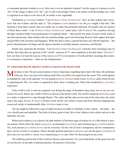<span id="page-18-0"></span>is misnamed spiritual wisdom (*[jnana](#page-53-2)*). How can it ever be spiritual wisdom? Can the image of a person ever be "he"? If the image is taken to be "he", can we call it knowledge? Such is the nature of all knowledge now; what is cognised as an object is not real at all; its reality is not cognisable.

Nondualists (*[a-dwaithins](#page-48-4)*) believe "I am *[Brahman](#page-50-1)* (*[Aham Brahmasmi](#page-48-5)*)". How do they acquire that conviction? Ask one of them, and the reply is, "The scripture (*sruthi*) declares it so; the *[guru](#page-53-0)* taught it like that." But learning it from these sources does not entitle one to make that profound statement. Do people who are masters of these three words: "I am *[Brahman](#page-50-1)* (*[Aham Brahmasmi](#page-48-5)*)" attain unity with *[Brahman](#page-50-1)*? No, ceaseless striving through countless births, loyal performance of scriptural duties —these purify the mind. In such a mind, seeds of devotion sprout and, when tended with care and knowledge, grow into blooming flowers; fruits appear and ripen and get filled with sweetness and fragrance. When the fruit is eaten, a person becomes one with the Supreme —the power that permeates all things and all regions and that is eternally present, conscious, and blissful.

People may enunciate the formula, "I am *[Brahman](#page-50-1)* (*[Aham Brahmasmi](#page-48-5)*)" correctly; their etymology may be perfect; but when they are ignorant of the "world", unaware of "I", and completely in the dark about "*[Brahman](#page-50-1)*", how can they ever taste the rare joy of the wise (*[jnani](#page-54-4)*)? It is not mastery of words and their meanings that counts: it is awareness, experience —these are the fundamentals.

### **25. Understand that the objective world is as unreal as the dream world**

Mud alone is real. The pot-consciousness is born of ignorance regarding mud; mud is the basis, the substance of the pot. How can a pot exist without mud? How can effect exist apart from the cause? The world appears as multiplicity only to the ignorant. To wise people (*[jnanis](#page-54-4)*), *[Brahman](#page-50-1)* alone exists, *[Brahman](#page-50-1)* upon which all else is superimposed. The *[Atma](#page-49-0)* alone is cognised by them; there is nothing else. That is the nondualistic (*[a-dwaithic](#page-48-6)*) experience.

If the world is real, it must be cognised even during the stage of dreamless deep sleep, but we are not conscious of it at all. Hence, the visible world is as unreal as the dream world. The world is imposed on *[Brahman](#page-50-1)* just as a snake is imposed on a rope through illusion. The snake and the rope are not seen at the same time; the entire rope is the snake. So too, *[Brahman](#page-50-1)* is all this world, all this vast variety of name and form. But this imaginatively conceived variety is fundamentally false. *[Brahman](#page-50-1)* alone is true.

The sky might be reflected in a pot of toddy but does not defile it. Similarly, in this vehicle —the body— the *[Atma](#page-49-0)* dwells pure and undefiled. The fruits of action, good or bad, fair or foul, adhere to the vehicle and not to the indweller, the seer.

When such wisdom (*[jnana](#page-53-2)*) dawns, the dark shadows of the three types of actions (*[karma](#page-54-1)*) flee before it: present actions, which affect the future (*[aagaami](#page-48-7)*), accumulated (*samchitha*), and commencing (*prarabdha*) actions. Yes, even present (*prarabdha*) *[karma](#page-54-1)* can be overcome. For the will of God is omnipotent, and for omnipotence there can be no limit or exception. When, through spiritual practices (*[sadhana](#page-59-0)*), you win the grace (*[sankalpa](#page-60-7)*) of the Lord, you can achieve victory over commencing *[karma](#page-54-1)* also. Don't be discouraged on any score.

The suffering and travails of this world are illusory and transitory. Fix your mind firmly on this great fact and set out bravely on the path of spiritual practice, the practice of devotion.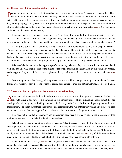### <span id="page-19-0"></span>**26. The journey of life depends on inborn desires**

**People are immersed in many activities and engaged in various undertakings. This is a well-known fact. They** are so many in number that sometimes one may feel that the span of twenty-four hours is too short for daily activity. Drinking, eating, reading, walking, sitting, and also hating, dreaming, boasting, praising, weeping, laughing, moping, hoping —all types of activities go on without end. They fill up the span of life. These activities are all intimately attached to the mind. This makes life a mere collection of inborn desires (*[samskaras](#page-59-6)*), which make an impact on character and personality.

There are two types of activities, good and bad. The effect of both on the life of a person has to be considered. The acts of a child during that tender age fade away like the writing of that child on slate. When the events of one's own childhood are thus consigned to oblivion, how can the events of the past life be retained in memory?

Leaving this point aside, it would be wrong to infer that only remembered events have shaped character. The acts and activities that have transpired and that have been thrust back into forgetfulness by subsequent events have left a trace of their consequences in the mind. The residue is there. When you try to bring back to memory at bedtime the events of the day, not everything that happened, from the insignificant to the significant, will answer the summons. Those that are meaningful, that are deeply embedded inside —only these can be recalled.

When such is the case with the happenings of a single day, when we forget all events that are not associated with joy or pain, what shall be said of the events of last week or month or years? Most events turn hazy, recede, and disappear. Only the chief events are registered clearly and remain; these few are the inborn desires (*[sams](#page-59-6)[karas](#page-59-6)*).

Performing innumerable deeds, gathering vast experience and knowledge, learning a wide variety of lessons from a wide variety of activities, one retains as capital only a mere four or five of them, strong, deep-rooted, vital.

### **27. Direct your life to acquire your last moment's mental tendency**

merchant calculates the debit and credit at the end of a week or month or year and draws up the balance  $\Gamma$  sheet, to arrive at one figure —his earnings. So too, in this business of life, everything ends in some bit of net earnings after all the giving and taking concludes. At the very end of life, it is this small quantity that will come into memory. The experiences that persist to the very last moment, the two or three that well up into consciousness when one recalls all that has happened in life, these are the real sustainers, the genuine achievements.

This does not mean that all other acts and experiences have been a waste. Forgetting them means only that their work has been accomplished and their value realised.

When business is done with thousands of rupees, one's heart freezes if a loss of a few thousand is sustained and leaps in joy if a few thousand are gained. Such is the story of the business of life. At the point of death, if one yearns to cater to the tongue, it is proof that throughout life the tongue has been the master. At the point of death, if a woman remembers her child and seeks to fondle it, the inner desire (*[samskara](#page-59-6)*) of child-love has been predominant all through life. It proves that all other experiences have been thrown into oblivion.

Thus, of the inborn desires (*[samskaras](#page-59-6)*) of life, some are stronger than the rest and stand out to the last. Life is like that; this has to be learned. The net result of all this living and toiling is whatever comes to memory at the last moment of life. Therefore, direct the entire current of life toward acquisition of the mental tendency (*[sam-](#page-59-6)*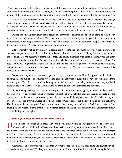<span id="page-20-0"></span>*[skara](#page-59-6)*) that you want to have during the last moment. Fix your attention upon it, day and night. The feeling that dominates the moment of death works with great force in the coming life. This truth must guide a person for the journey of this life too, for inborn desires are the wherewithal for this journey as well as for the journey after this.

Therefore, from tomorrow, always keep death, which is inevitable, before the eye of memory and engage yourself in the journey of life with good wishes for all, with strict adherence to truth, seeking always the company of the good, and with the mind always fixed on the Lord. Live, avoid evil deeds and hateful and harmful thoughts, and don't get attached to the world. If you live thus, your last moment will be pure, sweet, and blessed.

Disciplined striving throughout life is needed to ensure this consummation. The mind has to be turned over to good mental tendencies (*[samskaras](#page-59-6)*). Everyone must examine themself rigorously, spot defects, and struggle to correct them. When people uncover and realise their own defects, it is like being reborn. People then start anew, from a new childhood. This is the genuine moment of awakening.

Life is eternally stalked by death. Yet, people don't tolerate the very mention of the word "death". It is deemed inauspicious to hear that word, though, however insufferable it is, every living thing is every moment proceeding nearer and nearer to it. Intent on a journey and having purchased a ticket for the same, when you enter a train the train takes you willy-nilly to the destination, whether you sit quiet or lie down or read or meditate. So too, each living thing received a ticket to death at birth and has come on a journey; so, whatever your struggles, safeguards, and precautions, the place has to be reached some day. Whatever is uncertain, death is certain. It is impossible to change that law.

People have taught the eye, ear, and tongue the luxury of constant novelty. Now, the opposite tendencies have to be taught. The mind has to be turned toward the good; the activities of every minute have to be examined from that standpoint. Each deed is a chisel stroke shaping the rock of human personality. A wrong stroke may spoil and disfigure the rock. Therefore, even the tiniest of acts has to be done with great care and devotion.

For a drowning person, even a reed is some support. So too, to a person struggling in the sea of inborn desires (*[samskara](#page-59-6)*), a few good words spoken by someone might be of great help. No good deed can go to waste; no, not even a bad deed, for that too has its consequence. So, strive to avoid the slightest trace of evil activity. Keep your eyes pure. Fill your ears with words of God and stories of Godly deeds; don't allow them to listen to calumny. Use the tongue for uttering good, kind, and true words. Let it always remind you of God. Such constant effort must grant you victory. It is to earn these holy mental tendencies that one has to maintain the uninterrupted flow of high feelings and thoughts.

### **28. Perform good deeds and saturate the mind with God**

Use the hands to perform good deeds. Have the Lord's name within and the practice of one's duty (swa-<br>dharma) without. With the hand busy in selfless service (seva), let your mind be engrossed in all this —there is no harm. When the rains pour on the mountain peaks and the water hurries down the sides, no river emerges therefrom. However, when the waters flow in a single direction, first a brook, then a stream, then a torrent, and finally a flooded river is formed, and the rains reach the sea. Water that runs in one direction reaches the sea; water that flows in four directions soaks in and is lost.

Mental tendencies (*[samskaras](#page-59-6)*) are like this. Of what use are they if they merely come and go, this way today and that way tomorrow? The holy stream of good inborn desires must flow full and steady along the fields of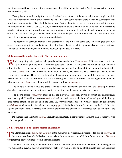<span id="page-21-0"></span>holy thoughts and finally abide in the great ocean of bliss at the moment of death. Worthy indeed is the one who reaches such a goal!

Twenty hammer strokes might not succeed in breaking a stone, but the twenty-first stroke might break it. Does this mean that the twenty blows were of no avail? No. Each contributed its share to the final success; the final result was the cumulative effect of all the twenty-one. So too, the mind is engaged in a struggle with the world, both internal and external. Needless to say, success might not always be your lot. But you can attain everlasting bliss by getting immersed in good works and by saturating your mind with the love of God. Infuse every moment of life with that love. Then, evil tendencies dare not hamper the path. If your mind dwells always with the Lord, you will be drawn automatically only toward good deeds.

The object of all spiritual practice is the destruction of the mind, and some day, some one good deed will succeed in destroying it, just as the twenty-first blow broke the stone. All the good deeds done in the past have contributed to this triumph; each little thing counts; no good deed is a waste.

### **29. Be engaged in good actions, with God in your thoughts**

While struggling in the spiritual field, you should take on the Lord (*[Parameswara](#page-57-0)*) Himself as your protector.<br>To instil courage in the child, the mother persuades it to walk a few steps and turn about, but she won't allow it to fall. If it totters and is about to lose balance, she hurries from behind it and catches it before it falls. The Lord (*[Iswara](#page-53-5)*) too has His Eyes fixed on the individual (*jivi*). He has in His hand the string of the kite, which is humanity; sometimes He may give it a pull, and sometimes He may loosen the hold; but whatever He does, be confident and carefree, for it is He that holds the string. That faith ever-present, that feeling hardening into an inborn desire (*[samskara](#page-59-6)*), will fill you with the essence of love (*[prema-rasa](#page-58-4)*).

The string is the bond of love and grace. The kite or individual is thus bound to the Lord (*[Iswara](#page-53-5)*). You must do and earn auspicious mental desires so that the bond of love and grace may exist and tighten.

The inborn desires (*[samskaras](#page-59-6)*) make or mar the individual (*jivi*); they are the steps that take all individual souls to the goal. Mental impressions (*[samskaras](#page-59-6)*) make the individual wade through loss and grief. Only through good mental tendencies can one attain the Lord. So, every individual has to be wholly engaged in good actions (*sath-karmas*). Good action is authentic worship (*[puja](#page-58-2)*). It is the best form of remembering the Lord. It is the highest devotional song. It spreads love, without distinction and difference. It is service done as the duty of the individual.

Be engaged in such actions (*[karmas](#page-54-1)*). Revel uninterruptedly in the thought of the Lord. This is the royal road to the goal you have to reach.

### **30. Eternal Religion: the divine mother of humanity**

The Eternal Religion ([Sanathana Dharma](#page-60-8)) is the mother of all religions, all ethical codes, and all *[dharmas](#page-51-0)* of this world. And [Bharath](#page-50-5) (India) is the home where the mother was born. Oh! How fortunate are the *Bharathi[yas](#page-50-7)* (Indians)! How sublimely splendid is this [Bharath](#page-50-5)!

The world in its entirety is the body of the Lord of the world, and [Bharath](#page-50-5) is that body's unique organ, the eye. Without the eye, the body is not master of itself, is it? Again, it can be said that [Bharath](#page-50-5) has been beautified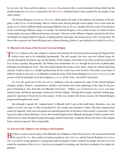<span id="page-22-0"></span>by two eyes: the *[Vedas](#page-63-1)* and the scriptures (*[sastras](#page-60-3)*). On account of this, it can be declared without doubt that the mental tendencies (*[samskara](#page-59-6)s*) attained by the *[Bharathiyas](#page-50-7)* (Indians) haven't been acquired by the people of any other country.

The Eternal Religion (*[Sanathana Dharma](#page-60-8)*), which teaches the truth of all religions and tolerance of all religions, is the *[dharma](#page-51-0)* of all humanity. Born in various areas, flowing through various paths, rivers at last reach the ocean; so too, born in different lands, practising different ways of *[dharma](#page-51-0)*, people reach the ocean of the presence of the Lord through different modes of worship. The Eternal Religion is the central location in which all these various paths, moving in different directions, converge. Followers of the different religions can practise this Eternal Religion by being truthful in speech, avoiding jealousy and anger, and acting always with a loving heart. All those who so practise the Eternal Religion and, without faltering, achieve it, are entitled to be called *[Bharathiyas](#page-50-7)*.

### **31. Bharath is the home of the Eternal Universal Religion**

The *[Vedic](#page-63-3)* religion is the only religion to achieve and maintain the foremost position among all religions from earliest times and to be established permanently. The only people who have survived without being destroyed, throughout the historic age, are the Hindus. In this religion, more than in any other, people have practised lives of love, equality, and gratitude. The Hindus have earned their *[dharma](#page-51-0)* through the discovery of philosophic principles and through the *[Vedas](#page-63-1)*. They have drunk deeply the essence of the *[Vedas](#page-63-1)*, which are without beginning and end. A land so holy is a veritable spiritual mine for the world. Just as the bowels of the earth reveal mines of different metals in each area, so in [Bharath](#page-50-5) is found the mine of the Eternal Religion (*[Sanathana Dharma](#page-60-8)*), of the essence of all the principles of all the scriptures (*[sastras](#page-60-3)*), all the *[Vedas](#page-63-1)*, and all the *[Upanishads](#page-62-1)*.

As if by the good luck of the *[Bharathiyas](#page-50-7)* (Indians), from the moment the mine of the Eternal Religion emerged, leaders, thinkers, commentators, apostles, and teachers have been appearing in this land for the purpose of fostering it. Also, from this very [Bharath](#page-50-5), seers arose —selfless *yogis* of action (*[karma-yogis](#page-54-5)*), wise men, realised souls, and divine personages connected with this religion. Through these people, spiritual wisdom guaranteed by experience flowed all over the country. In this way, loaded with divine essence, the Eternal Religion progressed throughout the world.

But although it spread, the "original home" is [Bharath](#page-50-5) itself. Look at the world today. Machines, cars, and engines of some new type or other are produced in one country and exported to others. But their original home cannot be forgotten. Such cars and engines are manufactured only on the basis of that country's experience. Nothing can be done without that basis. So too, the Eternal Religion arose. [Bharath](#page-50-5) and people of other countries benefited from its waters through the great personages and the books they composed. Hence, the basis of the original home cannot be ignored. That is impossible.

### **32. Eternal Vedic religion is the heritage of all mankind**

But there is some concern today in this [Bharath,](#page-50-5) the birthplace of those holy persons who nursed and fostered<br>this sacred *dharma*. New modes are being accepted as one's *dharma*, and the Eternal Religion (Sanathana *[Dharma](#page-60-8)*) itself is being ignored; it is being kept aside for people of other countries by people who have not even tested the sweetness of the *[dharma](#page-51-0)*, who have not grasped its meaning, and who have smothered it in empty disputation.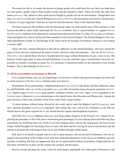<span id="page-23-0"></span>The reason for this is, of course, the absence of proper guides who could show the way. But even when there are such guides, people yield to these modern modes and get attached to them. These are really like little food treats (*[pakoras](#page-57-8)*). They attract by their smell and are bought by people who do not discriminate. Though their own duty (*swa-dharma*) is the pure Eternal Religion (*[Sanathana Dharma](#page-60-8)*), the fascination exercised by outward show is absent, so it gets neglected. Truth has no need for such decorations. Taste is the important thing.

The basic reason for this problem is the fact that people today are motivated by mere whim and fancy. It has become the habit to reject reality and accept the *[dharma](#page-51-0)* of another. This is a great mistake. It is against *[dharma](#page-51-0)* for *[Bharathiyas](#page-50-7)* (Indians) to be attracted by external forms and outward show. No other *[dharma](#page-51-0)* has, or will have, truth and highest love above and beyond that contained in the Eternal Religion. The Eternal Religion is the veritable embodiment of truth. It is the heritage of all. There can be no boundary for holiness. Holiness is one without a second, right?

Those who have attained liberation in this life by adherence to this Eternal Religion, who have earned the grace of God, who have understood the nature of truth, who have achieved realisation —they are all *[Bharathiyas](#page-50-7)*. *[Bharathiyas](#page-50-7)* have adored those who have reached that holy stage, without distinction of caste, creed, or sex. The holiness of that stage burns to ashes all such limitations. It is only until that stage is reached that it becomes impossible to consider everything as equal. So, it is necessary to determine boldly on the realisation of the Eternal Religion. This is the birthright of *[Bharathiyas](#page-50-7)*.

### **33. Divine personalities predominate in Bharath**

If we examine history since its very beginnings, we can know in detail what great personages were born and in which sections of the *[Bharathiyas](#page-50-7)* (Indians) they were born in.

Incarnations, divine personalities, enlightened persons (*[jivan-mukthas](#page-53-6)*) like [Rama,](#page-58-5) [Krishna](#page-55-5), [Balarama,](#page-49-5) [Jana](#page-53-7)[ka](#page-53-7), and [Parikshith,](#page-57-9) and *yogis* on the royal path (*[raja-yogis](#page-58-6)*) like [Viswamitra](#page-64-2) arose among the protectors (*[kshatri](#page-55-6)[yas](#page-55-6)*). Highest sages (*[brahmarshis](#page-50-8)*), great pundits, scriptural scholars, and *[Vedic](#page-63-3)* sages (*[rishis](#page-59-5)*) originated in the *[brahmin](#page-51-3)* caste. Labourers (*sudras*) predominate in the epical books, like *Bharatha* and *[Bhagavatha](#page-49-6)*. Among the great devotees of the Lord, members of the lower castes form a large number. \

To attain holiness without being affected by the world, and to reach the Highest Lord (*[Paramatma](#page-57-4)*), each one's spiritual discipline (*[sadhana](#page-59-0)*) is important; other things like caste will not be a hindrance at all. But one should deserve the grace required for it; one should become regular and disciplined in practice.

Such holy *[Bharathiyas](#page-50-7)* (Indians), however, now bring endless disgrace on the Eternal *[Vedic](#page-63-3)* religion by neglecting the principles of life of the above-mentioned great personages, by not studying them and following their instructions, by modifying their way of life to suit the changing times, and (as the saying goes, the hour of ruin brings wicked thoughts) by becoming slaves to name and fame and the craving for power and position and the anxiety to promote the well-being of their wives and children through selfish means.

Still, there is no dearth of people who love all in equal measure, who are devoid of selfishness, who are engaged in the promotion of the welfare of all, who have dedicated themselves to the service of mankind, and who sacrifice everything. But they are suppressed; they are not appreciated or placed in positions of high authority for fear there will then be no place for the wicked, the crooked, and the unjust.

However broad and deep the ocean, when the earth quakes underneath, the waters part of themselves, and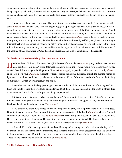<span id="page-24-0"></span>when the commotion subsides, they resume their original position. So too, these good people keep away without being caught up in it during the earthquake of injustice, unrighteousness, selfishness, and ostentation. And as soon as the hullabaloo subsides, they reenter the world. Evanescent authority and self-glorification cannot be permanent.

"To grow is only to decay," it is said. The present peacelessness is decay, not growth. For example, consider some *[Bharathiyas](#page-50-7)* (Indians) who from the beginning grew up in righteous ways with pure feelings, with selfcontrol and reverence for the good name, who were fed on the breast milk of the *[Vedas](#page-63-1)*, scriptures (*[sastras](#page-60-3)*), and *[Upanishads](#page-62-1)*, who welcomed and honoured races driven out of their own country and vouchsafed to them love in equal measure. Today, for the love of power and self, some of these *[Bharathiyas](#page-50-7)* accuse their own brethren, impatiently envy the prosperity of others, deceive their own brothers maddened by selfish greed, keep at arm's length their real well wishers, pursue only their own selfish end, multiply bad qualities hitherto unheard of in the Hindu fold, follow wrong paths and ways of life, and become the target of conflict and restlessness. All this because of the absence of fear of sin, fear of God, discipline, reverence, and faith. The fall is indeed incredible.

### **34. Awake, arise, and tread the path of love and devotion**

Hindu brethren! Children of [Bharath](#page-50-5) (India)! Followers of the ancient (*[sanathana](#page-60-6)*) way! Where have the hu-<br>man qualities of old gone? Truth, tolerance, morality, discipline —when would you accept them? Arise, awake! Establish once again the kingdom of [Rama](#page-58-5) (*[Rama-rajya](#page-58-7)*), resplendent with mansions of truth, *[dharma](#page-51-0)*, and peace. Love your *[Bharathiya](#page-50-7)* (Indian) brethren. Practise the Eternal Religion, quench the burning flames of ignorance, peacelessness, injustice, and envy with the waters of love, forbearance, and truth. Develop the feeling of mutualness. Sweep away all jealousy and anger.

Remember the rule of the holy personages, the characteristics of the most eminent and of the reign of God. Each one should realise their own faults and understand that there is no use in searching for faults in others. It is a mere waste of time; it also breeds quarrels. So give up that trait.

If this opportunity is missed, what else can be done? Don't yield to dejection, but say "finis" to all the unrighteousness of the past. Repent sincerely and tread the path of prayer to God, good deeds, and brotherly love. Establish the eternal kingdom of [Rama](#page-58-5) (*[Rama-rajya](#page-58-7)*).

The *[Sanathana Sarathi](#page-60-0)* was started to win this kingdom; its army will help this effort by word and deed. Draw that chariot forward! Gird up your loins and seek the protection of the Lord. *Barathiyas* (Indians) are all children of one mother —her name is *[Sanathana Dharma](#page-60-8)* (Eternal Religion). Redeem the debt due to the mother. He is no son who forgets the mother. He cannot be good who says the mother is bad. Her breast milk is the very breath of our life. The giver of this life, the father of all is the supreme Lord (*[Paramatma](#page-57-4)*).

All are children of the same parents. So, without blaming and accusing each other, without wishing evil for your kith and kin, understand that your brothers have the same attachment to the objects they love that you have to the ones that you love. Don't find fault with or laugh at what another loves. On the other hand, try to love it. These are the characteristics of truth and love, of *[Bharathiyas](#page-50-7)*.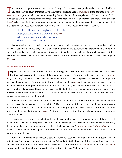<span id="page-25-0"></span>The [Vedas](#page-63-1), the scriptures, and the messages of the sages ([rishis](#page-59-5)) —all have proclaimed uniformly and without any possibility of doubt, from that day to this, that the supreme Lord (*[Paramatma](#page-57-4)*) is the universal Soul (*Sarva-antaryami*), present and immanent in everything. Issues like the relationship between "He who is served", "he who serves", and "the wherewithal of service" have also been the subject of endless discussion. Every believer (*asthika*) has heard the *[Bhagavatha](#page-49-6)* verse in which the great devotee [Prahlada](#page-57-10) states out of his own experience that the supreme Lord need not be searched for far and wide, that He is already very near the seeker.

He's here, He's not here —give up such doubts. Listen, Oh Leaders of the demons (*danavas*)! Wherever you seek and wherever you see, There … and there … He is!

People speak of the Lord as having a particular nature or characteristic, as having a particular form, and so on. These statements are true only to the extent that imagination and guesswork can approximate the truth; they are not the fundamental truth. Such conceptions are valid as far as practical worldly knowledge goes, but they can't be considered as valid knowledge of the Absolute. For it is impossible to see or speak about the Complete (*Purna*).

### **36. Be universal in outlook**

In spite of this, devotees and aspirants have been framing some form or other of the Divine as the basis of their devotion, each according to the stage of their own inner progress. They worship the supreme Lord (*Paramat*-In spite of this, devotees and aspirants have been framing some form or other of the Divine as the basis of their *[ma](#page-57-4)*) as existing in some Ayodhya or [Dwaraka](#page-52-1) and nowhere else, as found in places where some image or picture exists and nowhere else. They worship that form itself as complete (*purna*). Of course, it is not wrong to do so. But devotees should not proclaim that only their belief is the truth, that the names and forms that they have ascribed are the only names and forms of the Divine, and that all other forms and names are worthless and inferior. It should be realised that the names and forms that are the ideals of others are as dear and sacred to those others as such names and forms are to oneself.

When a form is idealised like this, it really becomes a symbol of the Universal. But how can a mere symbol of the Universal ever become the Universal itself? Conscious always of this, everyone should acquire the vision that all forms of the ideal are equally valid and true, without giving room to senseless hatred. Without this, it is impossible to realise the Complete (*Purna*). All these gross forms of the ideal are fully saturated with the subtle, divine Principle.

The taste of the vast ocean is to be found, complete and undiminished, in every single drop of its waters, but this does not mean that the drop is in the ocean. Though we recognise the drop and the ocean as separate entities, the nature and taste of both are identical. Similarly, the Universal Soul (*[Sarva-antaryaami](#page-60-9)*), *[Paramatma](#page-57-4)*, and the gross form and name that the supreme Lord assumes and through which He is realised —these are not separate entities but are identical.

When the all-pervasive, all-inclusive pure Existence is described, the matter and method depend on the principles of the speaker and tastes of the listener. When the individual name and form imposed by the devotee are transformed into the Attributeless and the Formless, it is referred to as *[Brahman](#page-50-1)*; when this same *[Brahman](#page-50-1)* appears with attributes and forms, it is referred to as [Rama,](#page-58-5) [Krishna,](#page-55-5) [Vishnu,](#page-64-3) or [Siva.](#page-61-0)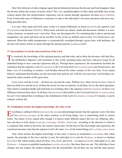<span id="page-26-0"></span>Don't the followers of other religions agree that all distinction between the devotee and God disappear when the devotee attains the ecstasy of mystic union? The *yogis* and philosophers of other lands and faiths also accept without demur that this distinctionless experience can be earned through supremest devotion (*[para-bhakthi](#page-57-7)*). Even if some little trace of difference is retained, it is due to the individual's own taste and desire and not to anything specially basic.

It is only when name and form come in that it is named differently as nature (*[prakriti](#page-57-3)*), the supreme Lord (*[Paramatma](#page-57-4)*) and devotee (*[bhaktha](#page-50-3)*). When name and form are absent, doubt and discussion whether it is masculine, feminine, or neutral won't even arise. Then, any description fits. For something that is above and beyond imagination, any name and form can be ascribed. In fact, It has no attribute and no form. It is all pervasive, omnipresent. When this subtle omnipresence is systematically worshiped through a gross form, with attributes, the devotee will clearly realise its nature through the spiritual practice (*[sadhana](#page-59-0)*) itself.

### **37. Incarnations reveal the universal form of the Lord**

To vouchsafe the knowledge of this spiritual practice and that truth, and to bless the devotees with that bliss, **I** the attributeless Supreme Lord incarnates in this world, assuming name and form, and gives scope for all embodied beings to have concrete experience and joy. Through these experiences, the incarnations facilitate the realisation that the supreme Lord (*[Paramatma](#page-57-4)*) is the Universal Soul (*[Sarva-antaryaami](#page-60-9)*) and All-pervasive, the Inner *[Atma](#page-49-0)* of everything in creation. Lord [Krishna](#page-55-5) showed the entire creation in His own form. Even [Arjuna](#page-49-7)  failed to understand that [Krishna](#page-55-5) was the universal Soul until he saw with his own eyes how Lord [Krishna](#page-55-5) contained the entire creation in His gross form.

Love, lover, and the Loved —all three are one and the same. Without love, there can be no lover. Even if there are both love and the lover, without the loved, love has no function. In all three, love is the chief ingredient. That which is saturated chiefly and uniformly in everything, that is the supreme Lord (*[Paramatma](#page-57-4)*). So there is no difference between these three. In all three, love (*[prema](#page-58-0)*) is discernible as the Universal Soul (*[Sarva-antaryaami](#page-60-9)*). So can't it be realised that everything is the embodiment of the Lord (*[Paramatma-](#page-57-4)swarupa*)? Certainly, it can be realised, without fail.

### **38. Nondualism teaches the highest knowledge: the unity of all**

**Example 1** verything is suffused with love ([prema](#page-58-0)). So, we can unhesitatingly declare that the supreme Lord is the form of love (prema-swarupa). In the entire creation, in all living things, love is manifesting itself in forms. The nature of love cannot alter, though it is known under different names like love for offspring, affection, devotion to God, desire (*vaatsalya*, *[anuraaga](#page-48-8)*, *[bhakthi](#page-50-0)*, *[ishtam](#page-53-8)*) etc., according to the direction in which it is canalised. But whatever the form, the essence cannot alter. On the basis of this knowledge and experience, the conclusion becomes clear that the supreme Lord is the inner *[Atma](#page-49-0)* of all created things (*Sarva-butha-antar-atma*).

That which teaches the highest knowledge of this unity is known as nondualism (*[a-dwaitha](#page-48-9)*); that which teaches the principle of the lover and the Loved, the individual (*[jiva](#page-53-4)*) and the *[Brahman](#page-50-1)*, is known as dualism (*dwaitha*); that which teaches about all three, love, lover, and loved —or nature (*[prakriti](#page-57-3)*), individual (*[jiva](#page-53-4)*), and *[Brahman](#page-50-1)*— is known as qualified nondualism (*visishta-adwaitha*). But these three are one. The child that is born changes into the student; the student changes into the householder; but all three are one and the same person,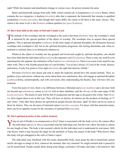<span id="page-27-0"></span>right? While the manners and attachments change in various ways, the person remains the same.

Butter and buttermilk emerge from milk. Milk, which contains all, is nondualism (*[a-dwaitha](#page-48-9)*). Butter, which contains the two categories, is dualism (*[dwaitha](#page-52-2)*); after that is separated, the buttermilk that remains is qualified nondualism (*visishta-adwaitha*). But though their tastes differ, the colour of all these is the same, always. This, which is the same in all, is the *[Brahman](#page-50-1)* without qualities (*[nir-guna](#page-56-0) [Brahman](#page-50-1)*).

### **39. Have firm faith in the unity of Self and Cosmic Lord**

The attitude of the worshiper and the worshiped is the seed of devotion ([bhakthi](#page-50-0)). First, the worshiper's mind<br>is attracted by the special qualities of the object of worship. The worshiper tries to acquire these special qualities. This is spiritual discipline (*[sadhana](#page-59-0)*). In the early stages of spiritual discipline, the distinction between worshiper and worshiped is full, but as the spiritual discipline progresses, this feeling diminishes and, when attainment is reached, there is no distinction whatsoever.

Whatever the object of worship one has grasped and loved and sought by spiritual discipline, one should have firm faith that the individual self (*jivatma*) is the supreme Lord (*[Paramatma](#page-57-4)*). There is only one wish fit to be entertained by the aspirant: the realisation of the Lord (*[Iswara](#page-53-5) Sakshatkara*). There is no room in the mind for any other wish. That is why Kunthi prayed thus to Lord [Krishna](#page-55-5), "Let us have always, O Lord of the world, distress, and misery, if only You grant us Your sight (*darshan*), the sight that destroys rebirth."

Devotees (*[bhaktha](#page-50-3)*) who desire and seek to attain the Supreme should have this mental attitude. Then, regardless of joy and sorrow, without any worry about their own satisfaction, they will engage in spiritual discipline (*[sadhana](#page-59-0)*) firmly, uninterruptedly, and with conviction; after understanding the Reality, they will have full contentment.

From this point of view, there is no difference between a liberated soul (*[jivan-mukthas](#page-53-6)*) and a devotee; both are beyond ego (*[ahamkara](#page-48-2)*), nature (*[prakriti](#page-57-3)*) with its three attributes, and the *[dharma](#page-51-0)* of the caste-stage of life (*varna-ashrama)*. The hearts of such will be full of compassion and the urge to do good to the world. Their *Brahmic* bliss impels them to act in this way. They will have no desires, for desires are the products of feelings of "I" and "mine". Only after these desires are uprooted do people become devotees, right? So there can be no room in them for desires. They are devotees of immortal nature (*amritha-swarupa*). For those with that immortal nature, there can be no appetite except for the sweetness of spiritual bliss (*[ananda](#page-48-10)*).

### **40. Start spiritual practise at the earliest moment**

Yama (Lord of Death) is as omnipresent as [Siva!](#page-61-0) [Yama](#page-64-1) is associated with the body (*[deha](#page-51-4)*); He cannot affect **the individual soul (***jiva*). Siva is associated with the individual soul, but He won't allow the body to subsist for any length of time. The body is the essential vehicle for the individual soul to understand its real nature. Still, who knows when it may become the target for the attention of [Yama](#page-64-1), the master of the body? Who knows when this body will get entrapped in the coils of [Yama'](#page-64-1)s ropes?

The individual soul, burdened with this easily destructible body, must grasp the above-mentioned caution and be all-eager to merge in [Siva](#page-61-0), whatever the moment, that very moment! No single moment that is passed by can be turned back. People usually delay doing some things; yesterday's till today and today's till tomorrow. But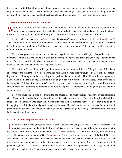<span id="page-28-0"></span>the tasks of spiritual discipline are not of such a nature. For them, there is no yesterday and no tomorrow. This very moment is the moment! The minute that just elapsed is beyond your grasp; so too, the approaching minute is not yours! Only the individual soul that has this understanding engraved on its heart can merge in [Siva](#page-61-0).

### **41. Seek the vision of the Divine, not death**

Without assimilating this truth in the heart, the individual soul is immersed in the aims of today and tomorrow, based on the assumption that the body is all important. It thus lays the foundations for worldly attachment, so it is born again and again with body and continues to have the vision (*[darshan](#page-51-5)*) of [Yama!](#page-64-1)

It is the right of the aspirant (*[sadhaka](#page-59-4)*) to have the vision of [Siva](#page-61-0) and not the sight of death (*[Yama-](#page-64-1)[darshan](#page-51-5)*)! The aspirant won't wish for or even contemplate it. Only those who have this relationship of the body (*[deha](#page-51-4)*) and the individual (*[jiva](#page-53-4)*) are human. And those who have realised this principle won't flag even to the slightest extent in their spiritual discipline.

These days, people are content to visualise and experience evanescent worldly joys. People have no rest. Spending the nights in sleep and days in eating and drinking, they grow and grow, until, in old age, death pursues them. Then, they can't decide where to go or what to do; all senses have weakened. No one, nothing can rescue them, so they end as obedient meat in the jaws of death!

How sad it is that this human life, precious as an invaluable diamond that can't be priced at all, has been cheapened to the standard of a worn-out worthless coin! After wasting time without profit, there is no use repenting without meditating on God or practising some spiritual discipline to realise Him. What is the use in planning a well when the house is on fire? When is it to be dug? When will water become available? When is the fire to be extinguished? It is an impossible task! If, at the very start, a well was ready, how helpful it would be on such critical occasions! Beginning to contemplate on God during the last moments is like beginning to dig the well when the house is on fire.

So, it will stand you in good stead when the end approaches to equip yourself, right now, by contemplating God off and on. Start today the spiritual discipline that has to be done tomorrow! Start now the spiritual discipline that has to be done today! One doesn't know what is in store the next moment; therefore, there should be no delay in engaging oneself in the spiritual practice that has to be done. Physical stamina is also necessary for this spiritual practice, so the body has to be tended, though overtending causes damage. To the degree that is essential, it should be looked after with great care.

### **42. Walk the path of spirituality and liberation**

This human birth is very difficult to attain. It cannot be got for a song. The body is like a caravanserai; the mind is its watchman and the individual soul  $(jivi)$  is the pilgrim. Thus, no one of these has any kinship with the others. The pilgrim is bound for Salvation City (*[Moksha-puri](#page-56-1)*). For a trouble-free journey, there is nothing as reliable as repeating the name of God (*[nama-smarana](#page-56-2)*), the remembrance of the name of the Lord. Once the sweetness of that name has been experienced, the person won't have exhaustion, unrest, or sloth but will fulfil the pilgrimage of spiritual practice joyfully, enthusiastically, and with deep conviction. Still, to achieve this spiritual practice, righteousness (*[sadbhava](#page-59-7)*) is very important. Without fear of sin, righteousness can't originate, and love of God can't develop either. This fear produces devotion, which results in worship of the Lord.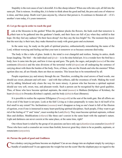<span id="page-29-0"></span>Stupidity is the root cause of one's downfall. It is like sheep-ishness! When one rolls into a pit, all fall into the same pit. That is ruinous. Avoiding this, it is better to think about the good and bad, the pros and cons of whatever is done, and then jump. Death won't pass anyone by, whoever that person is. It continues to threaten all —if it's another's turn today, it's yours tomorrow.

### **43. Let go the ego in order to reach the goal**

Look at the blossoms in the garden! When the gardener plucks the flowers, the buds exult that tomorrow is their turn to be gathered into the gardener's hands, and their faces are full of joy when they unfold in that hope. Do they feel any sadness? Do their faces droop? Are they any the less bright? No. The moment they know that the next day is their turn, they make themselves ready with great gusto and excitement.

In the same way, be ready on the path of spiritual practice, enthusiastically remembering the name of the Lord, without worrying and feeling sad that your turn is tomorrow or so because someone died today.

The body is like a tube of glass. Inside it, the mind is ever changeful and restless. Seeing its antics, death keeps laughing. The bird —the individual soul (*[jiva](#page-53-4)*)— is in the nine-holed pot. It is a wonder how the bird has a body; how it came into the pot, and how it rises up and goes. The gods, the sages, and people (*[naras](#page-56-3)*) of the nine continents (*[khandas](#page-55-7)*) and the nine divisions of the terrestial world (*[dwipas](#page-52-3)*) are all undergoing the sentence of carrying about with them the burden of the body. Now, of these, who are the friends and who the enemies? When egotism dies out, all are friends; there are then no enemies. This lesson has to be remembered by all.

People experience joy and misery through the ear. Therefore, avoiding the cruel arrows of hard words, one should use sweet, pleasant and soft ones —and with that softness, add the sweetness of truth. Making the word soft by adding falsehood only clears the way for more misery. A person who has become a spiritual aspirant should use very soft, sweet, true, and pleasant words. Such a person can be recognised by their good qualities. Thus, of those who have become spiritual aspirants, the mind (*[manas](#page-55-8)*) is [Mathura](#page-56-4) (birthplace of [Krishna](#page-55-5)), the heart (*[hridaya](#page-53-9)*) is [Dwaraka](#page-52-1) [\(Krishna](#page-55-5)'s capital), and the body (*[deha](#page-51-4)*) is Kasi (Benares).

It is possible to realise the supreme Effulgence (*[Paramjyothi](#page-57-11)*) at the seat of the tenth gate. But all efforts are of no avail if the heart is not pure. Look at the fish! Living as it does perpetually in water, has it rid itself of its foul smell to any extent? No. Inclinations (*vasanas*) won't disappear as long as one's heart is full of the illusion of egotism, even if one is immersed in many heart-purifying spiritual disciplines. Such people, if they want to get rid of the feeling of "I" and "mine", must worship the Lord (*[Hari](#page-53-10)*). They must become spiritual aspirants, without likes and dislikes. Modifications (*vikaras*) like these can't coexist in the same heart with the aspirant's nature. Light and darkness can never coexist at the same place, at the same time, right?

One whose heart is ruled by the group of six passions can have only ego (*[ahamkara](#page-48-2)*) as counselor (*[manthri](#page-55-9)*)! Those who have such a counselor are worse than foolish, however great they claim to be as pundits, aspirants, or renunciants (*[sanyasins](#page-60-5)*).

### **44. Pursue the path of good and Godliness**

**Nan a donkey carrying perfume become an elephant? Can an ass change into an elephant simply by carrying a** bundle of sandalwood? It can appreciate the weight but not the scent! But the elephant pays no regard to the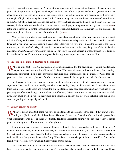<span id="page-30-0"></span>weight; it inhales the sweet scent, right? So too, the spiritual aspirant, renunciant, or devotee will take in only the pure truth, the pure essence of good activities, of Godliness, and of the scriptures, *[Vedas](#page-63-1)*, and *[Upanishads](#page-62-1)*. On the other hand, one who goes on arguing for the sake of mere scholarship, learning, and disputation will know only the weight of logic and missing the scent of truth! Onlookers may praise one as the embodiments of the scriptures and *[Vedas](#page-63-1)*, but where even the essentials are lacking, how can there be an embodiment? For those in search of the essence, the burden is no consideration. If mere reason is employed, nothing worthwhile is gained. Love (*[prema](#page-58-0)*) is the one big instrument for the constant remembrance of the Lord. Keeping that instrument safe and strong needs no other appliance than the scabbard of discrimination (*viveka*).

Many in the world utilise their vast learning in disputations and believe they are superior; this is a great mistake. If they really were so learned, there would not be so much disputation at all. They would assume silence as the honourable course, because those exalted in learning will have experienced the essence of the *[Vedas](#page-63-1)*, scriptures, and *[Upanishads](#page-62-1)*. They will see that the nature of that essence, its core, the purity of the Godhead it proclaims, are all One, however one may realise It. They know that God appears in whatever form He is taken to have and that He manifests in action to anyone the feelings that that person associates with Him.

### **45. Practise single-minded devotion and equanimity**

What is important is not the acquisition of argumentativeness but the acquisition of single-mindedness, equanimity, and freedom from likes and dislikes. Why have all these spiritual disciplines, this chanting, meditation, devotional singing, etc.? Isn't it for acquiring single-mindedness, one-pointedness? Once that onepointedness has been earned, human effort becomes unnecessary, its inner significance will then be revealed.

So, those eager to become spiritual aspirants, to attain salvation, should not yield to arguments and counterarguments. They should not be enticed by the wiles of bad feeling. They should see their own faults and not repeat them again. They should guard and protect the one-pointedness they have acquired, with their eyes fixed on the goal they are after, dismissing as trash whatever difficulties, defeats, and disturbances they encounter on their path. They must dwell on subjects that would give enthusiasm and joy and not waste valuable time building up doubts regarding all things, big and small.

### **46. Eschew conceit and doubt**

 $\blacksquare$  Thatever else is important, these two have to be attended to as essential: (1) the conceit that knows everything and (2) doubt whether It is or is not. These are the two chief enemies of the spiritual aspirant. But what does it matter who these enemies are? Simply decide for yourself to be firmly fixed in your reality. If that is pure, everything is pure. If that is true, everything is true.

If you wear blue eyeglasses, you see only blue, even though nature is resplendent with many colours, right? If the world appears to you as with differences, that is due only to the fault in you. If all appears as one love (*[prema](#page-58-0)*), that too is only your love. For both of these, the feeling in you is the cause. It is only because you have faults within you that you see the world as faulty. When there is no knowledge of fault in yourself, no fault can be found even by search, for you wouldn't know which are the faults.

Now, the question may arise whether the Lord Himself has faults because He also searches for faults. But how can it be said that the Lord searches for faults? He searches only for goodness, not for faults and sins. Those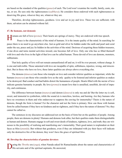<span id="page-31-0"></span>are based on the standard of the qualities (*[gunas](#page-53-11)*) of each. The Lord won't examine the wealth, family, caste, status, or sex. He sees only the righteousness (*[sadbhava](#page-59-7)*). He considers those endowed with such righteousness as deserving His grace, whoever they are, whatever they are.

Therefore, develop righteousness, goodness. Live and act in joy and love. These two are sufficient; with them, salvation can be attained without fail.

### **47. Be humane, not demonic**

**Humans are full of love (***[prema](#page-58-0)*). Their hearts are springs of mercy. They are endowed with true speech.<br>Peace is the characteristic of the mind of humans. It is the innate quality of the mind. In searching for peace there is no need to go anywhere else. Just as gold and silver lie hidden under the earth and pearl and coral under the sea, peace and joy lie hidden in the activities of the mind. Desirous of acquiring these hidden treasures, if one dives and turns mental activities inward, one becomes full of love. Only one who has so filled themself with love and who lives in the light of that love can be called human. Those devoid of love are demons, monsters, subhumans.

That holy quality of love will not remain unmanifested off and on; it will be ever present, without change. It is one and indivisible. Those saturated with love are incapable of spite, selfishness, injustice, wrong, and misconduct. But in those who have no love, these latter qualities are always above everything else.

The demons (*[danavas](#page-51-6)*) are those who trample on love and consider inferior qualities as important, while the humans (*[manavas](#page-55-10)*) are those who consider love as the only quality to be fostered and inferior qualities as snakes to be destroyed. Bad conduct and bad habits distort the humanness of people. Hearts filled with the nectar of love indicate genuine humanity in people. By love (*[prema](#page-58-0)*) is meant love that is unsullied, unselfish, devoid of impurity, and continuous.

The difference between human (*[manava](#page-55-10)*) and demon (*[danava](#page-51-6)*) is only ma and da! But the letter *ma* is soft, sweet, and immortal in symbolism, while the sound *da* is merciless, lawless, and burning. Are they humans who have no sweetness in them and who endeavour to suppress the craving for immortality? Theirs is the nature of demons, though the form is human! For the character and not the form is primary. How can those with human form be called humans if they have no kindness and no rightness, and if they have the nature of demons? No; they cannot be called so.

The sentences in my discourse are addressed not on the basis of form but on the qualities of people. Among people, there are demons in plenty! Humans and demons look alike, but their qualities make them distinguishable as human and demon. Humans engage in soft and sweet deeds of kindness, rightness, love, and truth; they are witnesses to the possibility of realising and manifesting one's immortality. Their good nature is resplendent on their faces as bliss (*[ananda](#page-48-10)*). But without that goodness, even if they are infatuated with joy their faces will indicate only the destructive fire of the demon; they won't have the grace of spiritual bliss.

### **48. Develop the characteristics of genuine devotees**

uring the *[Thretha](#page-62-2)* era (*yuga*), when [Narada](#page-56-5) asked Sri [Ramachandra](#page-58-8) about the nature and characteristics of His servants and of the spiritual aspirants, He answered,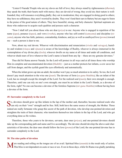<span id="page-32-0"></span>"Listen O [Narada!](#page-56-5) People who are my slaves are full of love; they always stand by righteousness (*[dharma](#page-51-0)*); they speak the truth; their hearts melt with mercy; they are devoid of wrong; they avoid sin; their nature is wellfounded; they will renounce everything gladly; they eat in moderation; they are engaged in doing good to others; they have no selfishness; they aren't worried by doubts. They won't lend their ears to flattery but are eager to listen to the praise of the good nature of others. They have beautiful, strong, and holy character. Spiritual aspirants are those who endeavour to acquire such qualities and possess such a character.

"Now I shall tell you about those who are dear (*[priya](#page-58-9)*) to me: Anyone who is engaged in repetition of the name (*[japa](#page-53-12)*), penance (*tapas*), and vows (*vratha*), anyone who has self-control (*[samyama](#page-60-10)*) and discipline (*[ni](#page-57-12)[yama](#page-57-12)*), anyone who has faith, patience, comradeship, kindness, and joy as well as unalloyed love (*[prema](#page-58-0)*) toward me —such a person is dear to me.

Now, about my real devote. Whoever with discrimination and renunciation (*viveka* and *vairagya*), humility and wisdom (*vinaya* and *vijnana*) is aware of the knowledge of Reality, whoever is always immersed in the contemplation of my divine play (*[leela](#page-55-11)*), whoever dwells on my name at all times and under all conditions, and whoever sheds tears of love whenever the Lord's name is heard from any lip —these are my genuine devotees."

Thus did Sri [Rama](#page-58-5) answer [Narada](#page-56-5). So the Lord will protect in all ways and at all times those who worship Him in complete and uncontaminated devotion *([bhakthi](#page-50-0))* —just as a mother protects her infants, a cow saves her calf from danger, and the eyelids guard the eyes effortlessly and automatically.

When the infant grows up into an adult, the mother won't pay so much attention to its safety. So too, the Lord doesn't pay much attention to the wise one (*[jnani](#page-54-4)*). The devotee of form (*[sa-guna](#page-59-3) [bhaktha](#page-50-3)*), like an infant of the Lord, has no strength except the strength of the Lord. For the realized soul (*[jnani](#page-54-4)*), their own strength is enough. Therefore, until one can rely on one's own strength, one must be an infant in the Lord's Hands, as a devotee of the form, right? No one can become a devotee of the formless Supreme (*[nir-guna](#page-56-0) [bhaktha](#page-50-3)*) without having been a devotee of the form.

### **49. Surrender completely to the Lord**

 $\bigcap$  o, devotees should grow up like infants in the lap of the mother and, thereafter, become realized souls who  $\Box$  can rely on their "own" strength and be free. Still, both have the same source of strength, the Mother. Those indeed are really fortunate who grasp this secret of the path of devotion, who develop one-pointed devotion and straighten the traits of their character, who transform themselves into infants in the lap of the Lord, and who get everything done as He wishes.

Therefore, those who yearn to be devotees, servants, dear ones (*[priyas](#page-58-9)*), and one-pointed devotees should take up the corresponding path and name and live accordingly. The devotee should develop the above-said characteristics of devotion; the dear ones should follow the love (*[prema](#page-58-0)*) of the Lord; the one-pointed devotee has to surrender completely to the Lord.

### **50. The nine paths of devotion**

Mere reading and rolling on the tongue are of no avail. Spiritual bliss ([ananda](#page-48-10)) is the result only of action.<br>This bliss is not dependent on caste or race or sex. Even in those days, while Sri [Rama](#page-58-5) was gladly partaking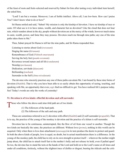<span id="page-33-0"></span>of the feast of roots and fruits selected and reserved by [Sabari](#page-59-8) for him after tasting every individual item herself, she asked him,

"Lord! I am but a woman. Moreover, I am of feeble intellect. Above all, I am low-born. How can I praise You? I don't know what to do or how!"

Sri [Rama](#page-58-5) smiled and said, "[Sabari!](#page-59-8) My mission is only the kinship of devotion. I have no kinship of race or caste. Of what use is it to have status, wealth, and character but no devotion? Like the cloud that does not bear rain, which wanders about in the sky, people without devotion are at the mercy of the winds, however much status in caste, wealth, power, and fame they may possess. Devotees reach me through nine paths; any one of the nine paths takes them to Me."

Then, [Sabari](#page-59-8) prayed Sri [Rama](#page-58-5) to tell her the nine paths, and Sri [Rama](#page-58-5) responded thus:

Listening to stories about God (*sravanam*) Singing the name (*[kirtanam](#page-55-4)*) Remembrance of God (*[Vishnoh-smaranam](#page-63-4)*) Serving the holy feet (*paada-sevanam*) Reverence toward nature and all life (*vandanam*) Worship (*[archanam](#page-48-11)*) Dedication, servitude (*daasyam*) Befriending (*sneham*) Surrender to the Self (*Atma-nivedanam*)

The devotee who sincerely practises any one of these paths can attain Me. I am bound by these nine forms of devotion (*[bhakthi](#page-50-0)*). That is why you have been able to so easily obtain this opportunity of seeing, touching, and speaking with Me, an opportunity that even *yogis* find too difficult to get. You have realised life's purpose today. See! Today's words are only the works of yesterday!

### **51. Devotion is of two kinds: effortful devotion and self-surrender**

Those who follow the above-said nine-fold path are of two kinds.

(1) The followers of the hard path.

(2) The followers of the safe and easy path.

These are sometimes referred to as (1) devotion with effort (*[bhakthi](#page-50-0)*) and (2) self-surrender (*[prapatthi](#page-58-10)*). That is to say, the practice of the young of the monkey is devotion and the practice of a kitten is self-surrender.

Devotion has to be continuous, uninterrupted, like the flow of oil from one vessel to another. Though the two kinds are basically the same, the practices are different. Without love (*[prema](#page-58-0)*), nothing in this world can be acquired. Only when there is love does attachment (*[anuraaga](#page-48-8)*) in its turn produce the desire to protect and guard. In both the above kinds of people, love is equal, no doubt, but in actual manifestation there is a difference. In the young-of-the-monkey path, the child has to rely on its own strength to protect itself —wherever the mother might jump about, the child has to attach itself fast to the mother's belly and not release its hold, even if pulled apart! So too, the devotee has to stand the tests at the hands of the Lord and hold on to the Lord's name at all times and under all conditions, tirelessly, without the slightest trace of dislike or disgust, bearing the ridicule and the criti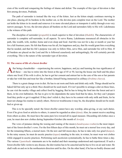<span id="page-34-0"></span>cism of the world and conquering the feelings of shame and defeat. The example of this type of devotion is that first among devotees, [Prahlada](#page-57-10).

The path of surrender is instead like the way of the kitten. Just as the kitten simply continues mewing in one place, placing all its burdens in the mother cat, so the devotee puts complete trust on the Lord. The mother cat holds the kitten in its mouth and removes it to more elevated places or transports it safely through even very narrow passages. So too, the devotee places all burdens on the Lord and surrenders fully to His will. [Lakshmana](#page-55-12)  is the witness of this path.

The discipline of surrender (*[prapatthi](#page-58-10)*) is much superior to that of devotion (*[bhakthi](#page-50-0)*). The characteristic of surrender is complete self-surrender, in all aspects. To serve [Rama,](#page-58-5) [Lakshmana](#page-55-12) renounced all obstacles in his path, like wealth, wife, mother, home and even sleep and food. And this was not for a day or month or year but for a full fourteen years. He felt that [Rama](#page-58-5) was his all, his happiness and joy, that He would grant him everything that he needed, and that his life's purpose was only to follow Him, serve Him, and surrender his will to Him. If all burdens are placed on the Lord and He is followed ceaselessly and unforgettingly, He will certainly provide everything. This is the nature of the surrender type of devotion.

### **52. The course of life of a forest dweller**

After being a housholder —experiencing the sorrow, happiness, and joy and learning the true significance of all these— one has to retire into the forest at the age of 45 or 50, leaving the house one built and the place where one lived. If his wife is alive, he has to get her consent and entrust her to the care of the son or her parents or take her with him and treat her like a brother, himself being immersed in celibacy (*[brahma-charya](#page-50-9)*).

 There is a great change even in diet. He has to eat roots and fruits and drink only milk. Things should not be baked full but only up to a third. Rice should not be used much. If it isn't possible to arrange a diet on these lines, he can visit the nearby village and collect food by begging. But he has to bring the food into the forest and eat it there, in his own habitation. He has to give to his dependents the same food that he takes, for they can't prepare food they prefer or get it supplied. If they don't relish it, they have to be content with only milk and fruits, for he must not change his routine to satisfy others. However troublesome it may be, the discipline should not be modified or given up.

This is to be specially noted: the forest dweller cannot have any worship, alms-giving, or any such duties. Even if he gives food or articles to others, it cannot be regarded as alms (*[dana](#page-51-2)*). Also, he cannot receive anything from others as alms. He must have the same pure love toward all in equal measure. Discarding old clothes once a year, he must don new clothes during September-October (the month of *Aswija*).

The vows of penance during the waxing and waning of the moon (*[chandrayana](#page-51-7)-vratha*) is the most important of the forest-dweller's vows. For the first fifteen days of this month, he must eat a morsel less every day, and for the remaining fifteen, a morsel more. On the new and full moon days, he has to take only rice gruel (*[kanjee](#page-54-6)*). In the rainy season, he must do ascetic practice (*tapas*) standing in the rain; in winter, he must wear wet clothes while engaged in ascetic practices. Performing such asceticism systematically, he has to bathe three times a day. The various *[Upanishadic](#page-62-3)* statements are to be studied and their meanings understood and experienced. If such a forest-dweller falls victim to any disease, the diet routine has to be canceled and he has to live on air and water. He shall walk on and on in the northeastern direction until he dies. On the other hand, if he has no bodily disease and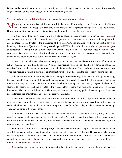<span id="page-35-0"></span>is hale and hearty, after adopting the above disciplines, he will experience the spontaneous dawn of true knowledge. By means of this knowledge, he will attain liberation (*[moksha](#page-56-6)*).

### **53. External and internal disciplines are necessary for one-pointed devotion**

Many argue about how this discipline can result in the dawn of knowledge. Aren't these mere bodily limitations, they ask. Knowledge can arise only by the realisation of the principle that guarantees self-realisation. How can something that does not contain this principle be called knowledge, they argue.

But this line of thought is based on a big mistake. Through these physical regulations, traits (*vasanas*) are destroyed and concentration is established. The *[Upanishadic](#page-62-3)* statements serve to foster and strengthen this one- pointedness, step by step —the experience of the *[Upanishadic](#page-62-3)* maxims alone will bring about the dawn of knowledge. Aren't the *[Upanishads](#page-62-1)* the very knowledge itself? With that embodiment of wisdom (*[jnana-](#page-53-2)swarupa*) as companion, realising It in one's own experience, what need is there to search for knowledge elsewhere? Onepointedness is essential to establish spiritual wisdom firmly in the heart, and this one-pointedness can easily be gained by the above-mentioned bodily disciplines and austerities (*tapas*).

External control helps internal control in many ways. To succeed in external controls is more difficult than to achieve success in controlling the internal! A turn of the steering wheel in one's hand in any direction makes the wheels of the car, which are not in one's hand, move in the same direction. The wheels won't turn in one direction when the steering is turned in another. The introspective wheels are based on the extrospective steering itself!

It is the natural basis. Sometimes, when the steering is turned one way, the wheels may drag another way, but this is due to the giving up of the natural characteristic. The internal wheels, if they have no air, which is the true essence, may behave as if there is no relationship with the steering. But they can't go beyond the bounds of steering. The steering in the hand is related to the wheels below. If there is no such relation, the journey becomes impossible. The connection is inevitable. Therefore, for the one who has struggled with and conquered the external tendencies, the internal tendencies become easily controllable.

The external tendencies have name and form and are attracted by becoming objects of experience. So, to overcome them is a matter of some difficulty. But internal tendencies have no form even though they may be endowed with name; they are also experienced as spiritual bliss (*[ananda](#page-48-10)*), so they can be overcome more easily. They can be tamed with greater ease.

The bother is more for external conduct and behaviour. These are associated with taste, form, and heaviness. The internal tendencies have no form, taste, or weight. Pure water has no form, taste, or heaviness. Impure water is different in all three. So, to clarify impure water is indeed difficult, but pure water can be given any form required, with very great ease.

Similarly, the difficulty is all about purifying mental behaviour, which is spoiled by the delusions of the world. There is no need to set right mental behaviour that is free from such delusions. Delusionless behaviour is necessarily pure. It is without any trace of defect and doubt. Why should it be set right? Therefore, if people first control and conquer external delusion as much as possible, the internal tendencies will easily move in the direction of *[Atmic](#page-49-1)* bliss (*[Atma-ananda](#page-49-3)*).

*Yoga* and penance (*tapas*) are only other names for the path of the control and conquest of these external ten-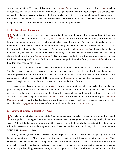<span id="page-36-0"></span>dencies and delusions. The rules of forest-dweller (*vanaprastha*) are but methods to succeed in this *yoga*. When one subdues delusion of all types in the forest-dweller stage, the journey ends in liberation (*[moksha](#page-56-6)*). But we cannot say that liberation has only this one path. Through whatever path grace is obtained, that path may be chosen. Liberation is achieved by these rules and observances of the forest-dweller stage; it can be secured by following this path. It also makes a person delusion free. It gives them one-pointedness.

### **54. The four stages of liberation**

Worship, with fixity of consciousness and purity of feeling and free of all extraneous thought, becomes itself mental union with the Divine (*[bhava-samadhi](#page-50-10)*). As a result of this mental union, the Lord appears before the inner eye of the devotee in the form that he has chosen for worship. The vision is not merely a matter of imagination; it is a "face-to-face" experience. Without changing location, the devotee can abide in the presence of the Lord in the self-same place. This is called "being always with God (*[salokya-mukthi](#page-59-9)*)". Besides being always with the Lord, devotees realise all that they see as the glory of the Lord. The experience is referred to as "seeing always the glory of the Lord (*[samipya-mukthi](#page-59-10)*)". Existing ever with the Lord, witnessing always the glory of the Lord, and becoming suffused with God-consciousness is merger in the divine form (*[sarupya-mukthi](#page-60-11)*). This is the final fruit of devotional scriptures.

But at this stage, there is still a trace of differential feeling. So, the nondualist won't admit it as the highest. Simply because a devotee has the same form as the Lord, we cannot assume that the devotee has the powers of creation, preservation, and destruction that the Lord has. Only when all trace of difference disappears and unity is attained is the highest stage reached. This is called union (*sayujya*). This comes of divine grace won by the essence of the spiritual practice of each; it cannot be claimed as the fruit of effort.

The devotee will aspire to this merging (*[aikya](#page-48-12)*). The devotee wishes to serve the Lord as he pleases and to experience the joy of the form that he has attributed to the Lord. But the Lord, out of His grace, gives them not only existence with the Lord, witnessing always the glory of the Lord, and being suffused with God-consciousness but also union (*sayujya*)! The path of devotion (*[bhakthi](#page-50-0) [marga](#page-56-7)*) results also in attainment of knowledge of *[Brahman](#page-50-1)* (*[Brahma-jnana](#page-50-11)*). Even if the devotee does not crave it, the Lord Himself vouchsafes it to the devotee. Union-with-God liberation (*sayujya-mukthi*) is also referred to as absolute liberation (*[ekantha-mukthi](#page-52-4)*).

### **55. Perform all actions in dedication to God**

For delusion-constituted (*[maya](#page-56-8)*-constituted) hn beings, there are two gates of illusion: the appetite for sex and the appetite of the tongue There two have to the set of the sex and the sex sex sex and the sex sex sex sex the appetite of the tongue. These two have to be conquered by everyone; as long as they persist, they cause sorrow. All worldly desires are comprehended by these two, so only those who have mastered these two can be said to have successfully waded through the world. These two are the causes of all sins, and sin is the manure on which illusion (*[maya](#page-56-8)*) thrives.

Really speaking, this world has to serve only the purpose of sustaining the body. Those aspiring for liberation have to subdue the senses. "Food for guarding the body, dress to ward off the cold," says the later (*uttara*) *[Gita](#page-52-0)*. However, if one gets immersed in these pursuits, one will forget the purpose for which one has come and the goal of all activity and holy endeavour. Instead, whatever activity a person may be engaged in, the person must, as automatically as breathing, be contemplating on and always aware of this: "I am born to serve God and to realise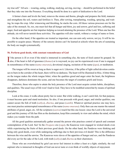<span id="page-37-0"></span>my true self." All acts —wearing, eating, walking, studying, serving, moving— should be performed in the belief that they take one into the Presence. Everything should be done in a spirit of dedication to the Lord.

A farmer clears and levels the land, removes the stones and thorns, ploughs and prepares the field, manures and strengthens the soil, waters and fertilises it. Then, after sowing, transplanting, weeding, spraying, and waiting, he reaps the crop. After winnowing and threshing, he stacks the corn. All these various processes are for the sake of the stomach. So, too, one must feel that all hunger and thirst, joy and sorrow, grief and loss, suffering and anger, food and appetite are but impulses helping us toward attaining the presence of the Lord. When one has this attitude, sin will never tarnish these activities. The appetites will also vanish, without a vestige of name or form.

On the other hand, if the appetites are treated as important, one can earn only sorrow, not joy. It will be impossible to acquire peace. Mastery of the sensory desires can't be learned at schools where the arts of sustaining the body are taught systematically.

### **56. Perform good deeds, with constant remembrance of God**

If the person is ill or even if the mind is immersed in something else, the taste of food cannot be grasped. So also, if the heart is full of ignorance *(thamas)* or is wayward, no joy can be experienced even if one is en **T** f the person is ill or even if the mind is immersed in something else, the taste of food cannot be grasped. So in remembrance of the name (*[nama-smarana](#page-56-2)*), devotional singing, recitation of the name (*[japa](#page-53-12)*), or meditation.

The tongue will be sweet as long as there is sugar on it. Likewise, if the pillar of light called devotion continues to burn in the corridor of the heart, there will be no darkness. The heart will be illumined in bliss. A bitter thing on the tongue makes the whole tongue bitter; when the qualities greed and anger enter the heart, the brightness disappears, darkness dominates the scene, and one becomes the target of countless griefs and losses.

Therefore, those who aspire to attain the holy presence of the Lord must acquire certain habits, disciplines, and qualities. The usual ways of life won't lead to God. They have to be modified somewhat by means of spiritual discipline.

Look at the crane; it walks about pretty fast in water. But while walking, it can't catch fish; for that purpose, it must become quiet and stand motionless. So also, if one proceeds with greed, anger, and similar qualities, one cannot secure the fish of truth (*sathya*), *[dharma](#page-51-0)*, and peace (*[santhi](#page-60-1)*). Whatever spiritual practice one may have, one must practise uninterrupted remembrance of the name (*[nama-smarana](#page-56-2)*). Only then can one master the natural attributes of greed, anger, etc. All the scriptures (*[sastras](#page-60-3)*) teach but this one lesson: since the Lord is the universal goal and this journey of life has Him as the destination, keep Him constantly in view and subdue the mind, which makes you wander from the path.

All the good qualities automatically gather around the person who practises control of speech and constant contemplation of the Lord. See! In the *[Dwapara](#page-52-5)* era (*yuga*), the [Kauravas](#page-54-7) were engaged in wicked deeds even while experiencing the fruits of their previous good deeds. On the other hand, the [Pandavas](#page-57-13) were thinking and doing only good deeds, even while undergoing sufferings due to their previous evil deeds! This is the difference between the wise and the unwise. The [Kauravas](#page-54-7) were slaves of the appetites of hunger and sex, and the [Pandavas](#page-57-13) did every act for the sake of the Lord, with truth (*sathya*) and *[dharma](#page-51-0)* as their charioteers.

Those who are overwhelmed by grief can never feel interest in either a feast or a fight; similarly, the real aspirant who is immersed in thoughts of God can never taste or even think of worldly objects of enjoyment.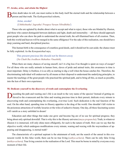### <span id="page-38-0"></span>**57. Awake, arise, and attain the Highest**

efore death takes its toll, one must realise in this body itself the eternal truth and the relationship between a person and that truth. The *Kathopanishad* exhorts,

### Arise, awake! (*Uththishtatha! Jagratha! Praapya Varaan Nibodhitha!*)

Those who are agitated by doubts about what to accept and what to reject, those who are blinded by illusion, and those who cannot distinguish between darkness and light, death and immortality —all these should approach great people who can show the path to understand the eternal truth, the self-illumined basis of all creation. Then, both this world and heaven will be merged in the same effulgence! For the sake of this realisation, one should have deep yearning and hard, disciplined practice.

This human birth is the consequence of countless good deeds, and it should not be cast aside; the chance must be fully exploited. As the *[Kenopanishad](#page-54-9)* says,

### This present precious life should not be thrown away (*Na Chath Iha Avedheen Mahathee Vinashtih*).

When there are many chances of saving oneself, isn't it a big loss if no thought is spent on ways of escape? For all those who are really animals in human form, slaves of pride and animal traits, this awareness in time is most important. Delay is fruitless; it is as silly as starting to dig a well when the house catches fire. Therefore, the discriminating individual will endeavour by all means at their disposal to understand the underlying principles, to master the teachings of the great people who practised the spiritual path, and to bring all this, as much as possible, into the ken of their own experience.

### **58. Dedicate yourself to the discovery of truth and contemplate the Everlasting**

iscarding the path and wasting one's life is an insult to the very name of the species! Instead of getting enslaved to the evanescent and the false and wasting precious time in their pursuit, dedicate every minute to discovering truth and contemplating the everlasting, ever-true Lord. Such dedication is the real function of the soul. On the other hand, spending time in illusory appetites is the drag of the world. One shouldn't fall victim to the poisonous attractions of worldly luxuries or the wiles of seductive beauty. One day, all these fascinating scenes will vanish as a story unfolded in dream!

Education and other things that make one grow and become big are of no use for spiritual progress; they bring about only spiritual downfall. That is why this is the illusory universe (*[maya-prapancha](#page-56-9)*). Truth, in whatever illusion it is immersed, will only shine more effulgently, for such is the nature of truth. How can we say that the objective world, which undergoes modifications every minute, waning and waxing with the waywardness of appearing and disappearing, is eternal truth?

The characteristic of a spiritual aspirant is the attainment of truth, not the search of the unreal in this evanescent world. In this false world, there can be no true living (*sathya-achara*). There can be only false living (*[mithya-achara](#page-56-10)*). True living consists in the realisation of the Lord. This must be borne in mind by everyone every moment of their life.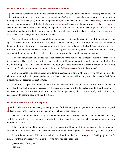### <span id="page-39-0"></span>**59. To reach God, be free from external and internal illusions**

The spiritual aspirant should note the distinction between the conduct of the natural ([sahaja](#page-59-11)) person and the spiritual aspirant. The natural person has no fortitude (sahana), is conceited (ahamkara), and is full of desire relating to the world (*[jagath](#page-53-13)*), by which the person is trying to have a contented existence (*[janma](#page-53-14)*). Aspirants are engaged in contemplation of the Lord (*[Sarveswara-chinthana](#page-60-12)*) as ceaselessly as the waves of the sea (*[sagara](#page-59-12)*), accumulate the wealth (*[dhana](#page-51-8)*) of equality and equal love to all, and are content in the thought that all is the Lord's and nothing is theirs. Unlike the natural person, the spiritual seeker won't easily bend before grief or loss, anger or hatred or selfishness, hunger, thirst or fickleness.

One should master all the above good things as much as possible and journey through life in fortitude, courage, joy, peace, charity, and humility. Realising that tending the body is not all-important, one has to bear even hunger and thirst patiently and be engaged uninterruptedly in contemplation of the Lord. Quarreling at every tiny little thing, losing one's temper, becoming sad at the slightest provocation, getting angry at the smallest insult, worried at thirst, hunger, and loss of sleep —these can never be the characteristics of an aspirant.

Rice in its natural state and boiled rice —can these two be the same? The hardness of natural rice is absent in the boiled one. The boiled grain is soft, harmless, and sweet. The unboiled grain is hard, conceited, and full of delusion. Both types are souls (*[jivis](#page-53-15)*) and humans, no doubt, but those immersed in external illusions (*avidya-maya*) are "people", while those immersed in internal illusions (*vidya-maya*) are "spiritual aspirants".

God is immersed in neither external nor internal illusions. He is devoid of both. He who has no external illusions becomes a spiritual aspirant, and when he is devoid of even internal illusions, he can be termed a God. Such a person's heart becomes the seat of God.

Therefore, it is possible to deduce that all is pervaded by God. Though, of course, the Lord is situated in every heart, spiritual practice is necessary so that they may discover it for themselves, right? It isn't possible for us to see our own face! We need a mirror to show us its image! So too, a basic path (*marga*), a spiritual practice, is necessary to become devoid of qualities (*[gunas](#page-53-11)*).

### **60. The harvest of the spiritual aspirant**

In this world, there is no penance (*tapas*) higher than fortitude, no happine deed (*[punya](#page-58-11)*) holier than mercy, no weapon more effective than patience. n this world, there is no penance (*tapas*) higher than fortitude, no happiness greater than contentment, no good

Devotees should consider the body as the field and good deeds as seeds and cultivate the name of the Lord, with the help of the heart as the farmer, in order to get the harvest, the Lord Himself. How can one get the crop without cultivation?

Like cream in milk and fire in fuel, the Lord is in everything. Have full faith in this. As the milk, so the cream; as the fuel, so the fire; so also, as the spiritual discipline, so the direct experience (*[sakshatkara](#page-59-13)*) of the Lord, right?

Even if the attainment of liberation (*[mukthi](#page-56-11)*) isn't directly realised as a consequence of taking up the Lord's name, four fruits are clearly evident to those who have had the experience:

(1) company of the great,

(2) truth,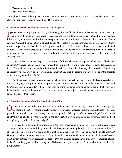- <span id="page-40-0"></span>(3) contentment, and
- (4) control of the senses.

Through whichever of these gates one enters, whether one is a householder, recluse, or a member of any other class, one can reach the Lord without fail. This is certain.

### **61. The characteristics of the devotee and worldly person**

**People crave worldly happiness. Analysed properly, this itself is the disease, and sufferings are but the drugs** we take. In the midst of these worldly pleasures, one rarely entertains the desire to attain the Lord. Besides, it is necessary to analyse and discriminate every act of a person, for the spirit of renunciation is born out of such analysis. Without it, renunciation is difficult to get. Miserliness is like the behaviour of a dog; it has to be transformed. Anger is enemy Number 1 of the spiritual aspirant; it is like spittle and has to be treated as such. And untruth? It is even more disgusting —through untruth, the vital powers of all are destroyed. It should be treated as scavenging itself. Theft ruins life; it makes the priceless human life cheaper than a pie; it is like rotten foul smelling flesh.

Moderate food, moderate sleep, love (*[prema](#page-58-0)*), and fortitude will help in the upkeep of the health of both body and mind. Whoever one may be, in whatever condition one may be, if one gives no room for dispiritedness, if one has no fear at all, and if one remembers the Lord with unshaken faith and without any ulterior motive, all suffering and sorrow will fall away. The Lord will never enquire at any time the caste to which you belong or the precepts (*achara*) that you traditionally follow.

Devotion doesn't consist in wearing an ochre cloth, organising festivals, performing ritual sacrifices, shaving the hair, carrying water pot or rod, matting the hair, etc. Instead, the characteristics of devotion are a pure mind (*[anthah-karana](#page-48-3)*), uninterrupted (whatever one may be doing) contemplation on God, the feeling that everything is the Lord's creation and therefore One, non-attachment to sense objects, the embracement of all in equal love, and dedication to true speech.

### **62. Consider the name of the Lord as the breath of life**

the various types of devotion, remembrance of the name ([nama-smarana](#page-56-2)) is best. In the [Kali](#page-54-10) era (yuga), the name is the path for saving oneself. Jayadeva, Gouranga, [Thyagara](#page-62-4), [Tukaram,](#page-62-5) [Kabir,](#page-54-11) [Ramdas](#page-58-12) —all these great devotees attained the Lord through just this one practice. Why speak of a thousand things? Even [Prahlada](#page-57-10)  and [Druva](#page-52-7) were able to enjoy the sight, touch, and conversation (*[darshan](#page-51-5)*, *sparshan*, and *[sambhasana](#page-59-14)*) of the Lord through only repetition of the name, right?

There can be no better path to liberation (*[mukthi](#page-56-11)*) than considering the name of the Lord as the very breath of life and, with complete faith in good deeds and thoughts, developing the spirit of service and equal love for all. Instead of this, if one sits in some solitary nook holding the breath, how can one master the innate qualities? How is one to know that one has mastered them? Devotion like [Ambarisha](#page-48-13)'s and activities like [Durvasa](#page-52-8)'s —the combination of these two will result in the fate of [Durvasa](#page-52-8) himself; at least, in the end, [Durvasa](#page-52-8) must fall at [Am](#page-48-13)[barisha'](#page-48-13)s feet. May you avoid becoming such [Thrisankus;](#page-62-6) may you experience the eternal truth and achieve the genuine state.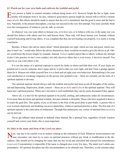### <span id="page-41-0"></span>**63. Watch out for your own faults and cultivate the truthful and joyful**

Every person is liable to commit mistakes without being aware of it. However bright the fire or light, some smoke will emanate from it. So also, whatever good deed a person might do, mixed with it will be a minute trace of evil. But efforts should be made to ensure that the evil is minimised, that the good is more and the bad is less. Naturally, in the present atmosphere, you may not succeed in the very first attempt. You must carefully think over the consequences of whatever you do, talk, or execute.

In whatever way you want others to honour you, or to love you, or to behave with you, in the same way you should first behave with others and love and honour them. Then only will those honour you. Instead, without yourself honouring and loving others, if you complain that they are not treating you properly, it is surely a wrong conclusion.

Besides, if those who advise others about "which principles are right, which are true and good, which conduct is best? etc." would only follow the advice themselves, there would be no need to give the advice at all. Others would learn the lesson simply by example. Instead, *[Vedanta](#page-63-5)* spoken parrot-like to others, without any attempt to put it into practice in one's own conduct, not only deceives others but is even worse; it deceives oneself. You must be as you want others to be.

It is not the nature of a spiritual aspirant to search for faults in others and hide their own. If your faults are pointed out to you by someone, don't argue and try to prove that you were right, and don't bear a grudge against them for it. Reason out within yourself how it is a fault and set right your own behaviour. Rationalising it for your own satisfaction or wreaking vengeance on the person who pointed it out —these are certainly not the traits of a spiritual aspirant or devotee.

The spiritual aspirant should always seek the truthful and joyful and must avoid all thoughts of the untrue, sad and depressing. Depression, doubt, conceit —these are as *[Rahu](#page-58-13)* and *[Kethu](#page-54-12)* to the spiritual aspirant. They will harm one's spiritual practice. When one's devotion is well established, they can be easily discarded if they appear.

Above all, it is best for the spiritual aspirant to be joyful, smiling, and enthusiastic under all circumstances. Even more than devotion and spiritual wisdom, this pure attitude is desirable. Those who have acquired it deserve to reach the goal first. This quality of joy at all times is the fruit of the good done in past births. A person who is ever worried, depressed, and doubting can never attain bliss, whatever spiritual practice is done. The first task of a spiritual aspirant is the cultivation of enthusiasm. Through that enthusiasm, any variety of spiritual bliss (*[ananda](#page-48-10)*) can be derived.

Never get inflated when praised or deflated when blamed. Be a spiritual lion, regardless of both. Analyse yourself and correct your faults; this is most important.

### **64. Stick to the name and form of the Lord you adore**

Now, one has to be careful even in matters relating to the realisation of God. Whatever inconveniences one may encounter, one must try to carry on spiritual practices without any break or modification in the disciplines. One should not be changing the name that one has loved and cherished and selected for remembrance (*smarana*). Concentration is impossible if the name is changed once every few days. The mind won't attain onepointedness. All spiritual discipline has this one-pointedness as its ultimate aim. Therefore, avoid constant adop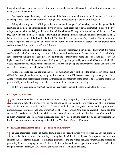<span id="page-42-0"></span>tion and rejection of names and forms of the Lord. One single name must be used throughout for repetition of the name (*[japa](#page-53-12)*) and meditation.

One has also to get the strong conviction that all the Lord's names and forms are but the name and form that one is repeating. That name and form must not give the slightest feeling of dislike or disaffection.

Taking all worldly losses, sufferings, and worries as merely temporal and transitory, and realising that all this repetition of the name and meditation is only to overcome such grief, the spiritual aspirant should keep the two things separate, without mixing up that with this and this with that. The aspirant must understand that loss, suffering, and worry are external, belonging to this world, and that repetition of the name and meditation are internal, belonging to the realm of the love for the Lord. This is called chaste (*[pathivratha](#page-57-14)*) devotion. The other variety, where the spiritual aspirant selects one name and one form and after some time discards them for another name and form, is called unchaste (*vyabhichara*) devotion.

Changing the name and form is not a fault if it is done in ignorance, but having once known that it is wrong and harmful, and after continuing repetition of the name and meditation on the one name and form faithfully, subsequently changing them is certainly is wrong. Sticking faithfully to the name and form is the highest vow, the highest austerity. Even if elders advise you, don't give up the path approved by your mind! Of course, which elder would suggest that you should change the name of the Lord and give up the name that you adore? Consider those who tell you to do so not as elders but as dullards.

As far as possible, see that the time and place of meditation and repetition of the name are not changed and shifted. For example, while traveling, keep the time unaltered even if it becomes necessary to change the venue. At the specified time, at least recall to mind the meditation and repetition of the name done at the same time in the past, even if you are in a railway train, a bus, or some such inconvenient surrounding.

In this way, accumulating spiritual wealth, one can surely become the master, and attain the *[Atma](#page-49-0)*.

### **65. Help ever, hurt never**

I veryone should so lead life that no pain is caused to any living thing. That is their supreme duty. Also, it is the prime duty of everyone who has had the chance of this human birth to spare a part of their energies occasionally to prayer, repetition of the Lord's name, meditation, etc. Everyone must equate living with truth, righteousness, peacefulness, and good works that are of service to others. One must be as afraid of doing acts that are harmful to others or deeds that are sinful as one is now afraid to touch fire or disturb a cobra. One must have as much attachment and steadfastness in carrying out good works, in making others happy, and in worshiping the Lord as one now has in accumulating gold and riches. This is the *[dharma](#page-51-0)* of humans.

### **66. The Lord incarnates to promote goodness and universality**

The Lord incarnates Himself in human form in order to strengthen this type of goodness. But the question may arise, how can a nonexistent thing be strengthened and developed? Indeed, these qualities are not nonexistent; they are there in everyone! When these qualities decline and wither, the Lord comes with the purpose of promoting them and bringing about the decline of the forces that work in the opposite direction. It is to make clear this purpose that [Krishna](#page-55-5), in the *[Dwapara](#page-52-5)* era (*yuga*), while teaching [Arjuna,](#page-49-7) said,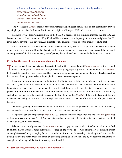<span id="page-43-0"></span>All incarnations of the Lord are for the protection and promotion of holy seekers. *parithraanaaya sadhuunaam vinaashaaya cha dushkrithaam dharma-samsthapanaarthaaya sambhavaami yuge yuge*.

 The word seeker (*[sadhu](#page-59-15)*) does not refer to any single religion, caste, family stage of life, community, or even any single species, like the human! It refers to all religions, all stages of life, all races, and all creatures.

The Lord revealed His Universal Mind in the *[Gita](#page-52-0)*. It is because of this universal message that the *[Gita](#page-52-0)* has become so essential and so famous. Why, [Krishna](#page-55-5) Himself has declared in plenty of situations and places that He is the dutiful servant of His devotees. An example of this is His accepting to be the charioteer of [Arjuna!](#page-49-7)

If the culture of the ordinary person results in such elevation, each one can judge for themself how much more purified and holy would be the character of those who are engaged in spiritual exercises and the incessant contemplation of God! For both these types of people, the quality of their character is the important criterion.

### **67. Follow the sages of yore in contemplation of Brahman**

There is a great difference between those established in God-contemplation (*[Brahma-nishtas](#page-50-12)*) in the past and today's contemplators of *[Brahman](#page-50-1)*. First, it is necessary to grasp the greatness of contemplation of *Brahman*. In the past, this greatness was realised, and holy people were immersed in experiencing holiness. It is because this has not been done by present-day holy people that poverty has come upon us.

The question may arise why such holy feelings don't arise now, but they are not absent. For fire to increase or decrease, fuel is the only cause; there is no other reason. The more the fuel, the more the illumination! In all humanity, every individual has the undisputed right to feed their fire with fuel! By its very nature, fire has the power to give light, but it needs fuel. The fuel of renunciation, peacefulness, truth, mercifulness, forbearance, and selfless service has to be constantly placed in the fire of the intellect (*[buddhi](#page-51-9)*) of the spiritual aspirant, the fire that emanates the light of wisdom. The more spiritual seekers do this, the more efficacious and effulgent they can become.

Only trees growing on fertile soil can yield good fruits. Those growing on saline soils will be poor. So also, only in unsullied hearts can holy feelings, power, and gifts shine in splendour.

The present-day contemplators (*Brahma-nishtas*) practise the same meditation and the same *[Om](#page-57-6)* (*[pranava](#page-57-15)*) as their namesakes in the past. The difference between them arises in the decline in self-control, as far as the field of spiritual discipline is concerned.

When the number of great souls (*[maha-purushas](#page-55-3)*) who engage themselves in unflinching meditation of God in solitary places declined, much suffering descended on the world. Those who exist today are damaging their contemplation on God by arranging for the accumulation of obstacles for carrying out their spiritual practices, by getting enslaved to mean praise and fame, by becoming entangled in delusion, and by restlessly endeavouring to earn glory and to expand the institutions they have founded.

### **68. Seek solitude, meditate, and acquire one-pointedness**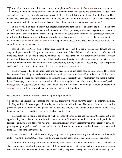<span id="page-44-0"></span>Those who yearn to establish themselves in contemplation of *[Brahman](#page-50-1) ([Brahma-nishta](#page-50-12))* must seek solitude, practise meditation and repetition of the name at specified times, and acquire one-pointedness through these spiritual exercises. They must always be anxious to do deeds that will bring about the welfare of all beings. They must always be engaged in performing work without any concern for the fruit thereof. It is only when such people come upon the Earth that all suffering will cease. This is the mark of the Golden Age (*[Kritha Yuga](#page-55-13)*).

In this world, kind-hearted doctors run medical institutions here and there and serve the diseased and cure the afflicted. Similarly, if we had ashrams here and there of holy personages who were experts in the treatment and cure of the "birth-and-death disease", then people could be cured of the afflictions of ignorance, untruth, immorality, and self-aggrandisement. Ignorance produces wickedness, and it can be cured only by the medicine of the knowledge of *[Brahman](#page-50-1)* (*Brahma-jnana*) with supplementary doses of the drugs peacefulness, fortitude, selfcontrol (*[santhi](#page-60-1)*, *[sama](#page-59-16)*, *[dama](#page-51-10)*), etc.

Instead of this, the "great men" of today give those who approach them the medicines they demand and the drugs their patients relish! They thus become the instruments of their followers and, for the sake of name and fame, they behave like doctors dictated by patients! The so-called "great" fall into perdition even before they taste the spiritual bliss themselves on account of their weakness and foolishness in becoming prey to the wiles of the greed for name and fame! The main reason for contemporary poverty is just this. Present-day virtuous aspirants and "great" people have not understood this fact and don't act according to it.

The holy essence has to be experienced and realised. One's selfish needs have to be sacrificed. There must be constant effort to do good to others. One's desire should be to establish the welfare of the world. With all these feelings filling the heart, one must meditate on the Lord. This is the right path. If "great men" and those in authority are thus engaged in the service of humanity and in promoting the welfare of the world, the thieves of passion, hatred, pride, envy, jealousy, and conceit won't invade the minds of men. The divine possessions of people, like *[dharma](#page-51-0)*, mercy, truth, love, knowledge, and wisdom, will be safe from harm.

### **69. Uproot internal and external foes and uphold righteousness**

The police and rulers can overcome only external foes; they have no power to destroy the internal enemies.  $\blacksquare$  They will find the task impossible, for they are not the authorities for that. The internal foes, the six enemies (*[arishadvarga](#page-49-8)*) that operate inside a person, can be uprooted only by the teachings of good people, love of God, knowledge of the Lord, and the company of the holy and the great.

The world suffers harm at the hands of wicked people when the police and the authorities responsible for apprehending thieves become themselves dependent on them. Similarly, the world becomes enveloped in darker ignorance and *[dharma](#page-51-0)* is destroyed when those contemplating *[Brahman](#page-50-1)* incessantly and the "great" spiritual aspirants give up the path of world welfare and become victims of sense enjoyment and ambition to earn name and fame. Also, suffering increases daily.

The whole world will bask in peace and joy only when both groups —worldly authorities and spiritual aspirants— realise the right attitudes and, with the welfare of all at heart, ponder the omnipotence of the Lord.

These two groups are governments for humanity's two states. Spiritual elders are the rulers of the internal state; administrative authorities are the rulers of the external state. If both groups act and direct properly, both states will function to create happiness. The fault of causing the present misery must therefore be shared by both.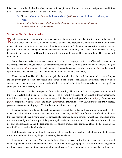<span id="page-45-0"></span>It is at such times that the Lord resolves to vouchsafe happiness to all states and to suppress ignorance and injustice. It is to make this clear that the Lord said in the *[Gita](#page-52-0)*,

## Oh [Bharath](#page-50-5), whenever *[dharma](#page-51-0)* declines and evil (*[a-dharma](#page-48-14)*) raises its head, I make myself born.

*Yadhaa yadhaa hi dharmasya glanirbhavathi Bharatha Abhyuththanam adharmasya thadhaathmanam srirjamyaham.*

### **70. Pray to God for His incarnation**

Really speaking, the prayers of the great act as an invitation even for the advent of the Lord. In the external world, when the subjects need any convenience or help, they approach the rulers and inform them of their request. So also, in the internal state, when there is no possibility of achieving and acquiring devotion, charity, peace, and truth, the great and good people who desire to achieve them pray to the Lord within themselves. Then, listening to their prayers, He Himself comes into the world and showers His grace on them. This fact is well known to all.

Didn't [Rama](#page-58-5) and [Krishna](#page-55-5) incarnate because the Lord heeded the prayers of the sages? Many have read this in the *[Ramayana](#page-58-14)* and the *[Bhagavatha](#page-49-6)*. Even [Ramakrishna,](#page-58-15) though he was divinely-born, prayed to Goddess [Kali](#page-54-10) (for he could not bring *[dharma](#page-51-0)* about) to send someone who could preach to the whole world the *[dharma](#page-51-0)* that would uproot injustice and selfishness. This is known to all who have read his life history.

Thus, prayers should be offered again and again for the realisation of the task. No one should become desperate and give up prayers if they don't result immediately in the advent of the Lord. In the external state, how often does a person have to write and how much does he have to wander about for the work to be done —and, perhaps at the end, it may not fructify at all!

How is one to know the consequence of the soul's yearning? Since this can't be known, one has to pray until the world is established in happiness. The happiness of the world is the sign of His arrival; if this is understood, then it is easy to recognise the *[Avatar](#page-49-4)* immediately. It is then that the religion of truth (*sathya*), of compassion (*[daya](#page-51-11)*), of spiritual wisdom (*[jnana](#page-53-2)*) and of love (*[prema](#page-58-0)*) will grow and prosper. So, until these are firmly rooted, people must continue their prayers. That is the responsibility of the people.

The road laid out by holy people has to be repaired now and then, either by those who travel through it or by those who claim authority over it. That is what is called "teaching (*[bodha](#page-50-13)*)". It is for the sake of such repairs that the Lord occasionally sends some authorised individuals, sages, and divine people. Through their good teachings, the path opened by the God-people of the past is again made clear and smooth. Thus, when the Lord's will, the needs of spiritual seekers, and the teachings of great persons produce their combined effect, the happiness of the world will be assured and undiminished.

If all humanity prays at one time for unrest, injustice, disorder, and falsehood to be transformed into peace, truth, love, and mutual service, things will certainly become better.

There is no other way out. Worrying is fruitless. This is no occasion for despair. It is against the essential nature of people to plead weakness and want of strength. Therefore, giving up the search for other means, people must try prayer, service to others, and mutual love and respect. They should delay no longer; they will soon ac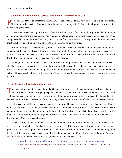<span id="page-46-0"></span>quire contentment and joy.

### **71. With faith in human divinity, service to mankind becomes service to God**

People say that service to humanity (*[manava](#page-55-10)-seva*) is service to God (*[Madhava](#page-55-14)-seva*). That is a true statement. But although the service of humanity is holy, unless it is merged in the bigger ideal, people won't benefit, however huge the service.

Mere repetition of the slogan is useless if service is done without faith in the divinity of people and with an eye on name and fame and the fruits of one's action. Whatever actions one undertakes, if one constantly has as companion the contemplation of the Lord, and if one has faith in the essential divinity of people, then the statement about service to humanity and service to God being the same is justified.

Without thoughts of God (*[Madhava](#page-55-14)*), how can service to God originate? All such talk is mere show. I won't agree to that. Instead, whatever is done with the Lord in mind, along the path of truth and according to aspects of *[dharma](#page-51-0)*, has to be considered as selfless service (*seva*) to the Lord, and whatever is done for name and fame and for the fruit thereof shall not be referred to as service to people.

In fact, those who are immersed in the uninterrupted contemplation of the Lord need not do any other task at all. The fruit of their prayer itself can make the world holy. However, all can't be thus engaged, so the others must try to prepare for that stage by purifying their mind and diminishing their desires. The spiritual seekers who have achieved this can realise things for themselves. Others can't grasp the sameness of service to people and service to God.

### **72. Purify the mind by meditation and japa**

This does not mean that you can sit quietly. Grasping the sameness is dependent on your destiny, past actions, and spiritual discipline. Until you grasp the sameness, do meditation and repeat the name, so that your mind will become free from the waves of feeling and full of the divine form. Also, carry out deeds for the good of others. Devote your time to the service of the world, regardless of the results thereof. Thus can you become blessed.

Otherwise, though the body may be inactive, the mind will be very busy, committing acts on its own. People with such minds fall prey to fate (*[karma](#page-54-1)*) in spite of their not doing anything! When a person has the mind fixed on contemplation of God and the pursuit of truth, though the body and senses do acts that are of service to the world, they won't be affected by them; though they do actions (*[karma](#page-54-1)*), they are still non-doers of action. The lesson of the *[Bhagavad Gita](#page-49-9)* is embedded in this.

The heart of the person who doesn't strive to cultivate the mind with holy thoughts is certain to be the paradise of evil and wickedness. This has to be borne in mind by all those who aspire for salvation, who seek onepointedness, and who hope to rise to greatness. Neither caste nor monkhood nor rituals nor scholarship gained by study of the scriptures is a criterion to realise this knowledge of the *[Atma](#page-49-0)*. Steady contemplation of *[Brahman](#page-50-1)* (*[Brahma-nishta](#page-50-12)*) is the only criterion. The *[Upanishad](#page-62-1)* text also emphasises this:

Spiritual wisdom alone is the cause of liberation; not the stage of life or philosophy. *Naashramam kaarnam muktheh, darshanani na kaaranam Thathaiva sarvakarmaani jnanamevahi kaaranam.*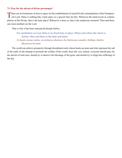### <span id="page-47-0"></span>**73. Pray for the advent of divine personages!**

There are no limitations of time or space for the establishment of oneself in the contemplation of the Omnipres-<br>ent Lord. There is nothing like a holy place or a special time for this. Wherever the mind revels in contemplation of the Divine, that is the holy place! Whenever it does so, that is the auspicious moment! Then and there, one must meditate on the Lord.

That is why it has been announced already before,

For meditation on God, there is no fixed time or place. When and where the mind so desires, then and there is the time and place. *Na kaala niyamo yathra, na deshasya sthalasya cha Yathraasya ramathe chittham, thathra* 

### *dhyaanena kevalam.*

The world can achieve prosperity through disciplined souls whose hearts are pure and who represent the salt of the earth. In the attempt to promote the welfare of the world, from this very minute, everyone should pray for the advent of such men, should try to deserve the blessings of the great, and should try to forget the sufferings of the day.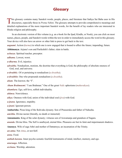# **Glossary**

<span id="page-48-0"></span>This glossary contains many Sanskrit words, people, places, and literature that Sathya Sai Baba uses in His discourses, especially those in *Prema Vahini*. The glossary attempts to provide comprehensive meanings and detailed explanations of the more important Sanskrit words, for the benefit of lay readers who are interested in Hindu religion and philosophy.

In an electronic version of this volume (e.g. an e-book for the Ipad, Kindle, or Nook), you can click on most names, places, people, and Sanskrit words within the text in order to immediately access the word in this glossary. Your device will also have an arrow or other link to press to get back to the text.

<span id="page-48-7"></span>*aagaami*. Action (*[karma](#page-54-1)*) in which one is now engaged that is bound to affect the future; impending; future.

<span id="page-48-16"></span>**Abhimanyu**. [Arjuna](#page-49-7)'s son and [Parikshith](#page-57-9)'s father; slain in battle.

*acharya*. Spiritual teacher, preceptor.

*adhama*. Lowest, worst.

<span id="page-48-14"></span>*a-dharma*. Evil, injustice.

<span id="page-48-9"></span>*adwaitha*. Nondualism, monism, the doctrine that everything is God, the philosophy of absolute oneness of God, soul, and universe.

<span id="page-48-6"></span>*a-dwaithic*. Of or pertaining to nondualism (*[a-dwaitha](#page-48-9)*).

<span id="page-48-4"></span>*a-dwaithin*. One who propounds nondualism (*[a-dwaitha](#page-48-9)*).

*aham*. The knower, the "I".

<span id="page-48-5"></span>*Aham Brahmasmi*. "I am [Brahman.](#page-50-1)" One of the great *[Vedic](#page-63-3)* aphorisms (*mahavakyas*).

<span id="page-48-2"></span>*ahamkara*. Ego, self-love, selfish individuality.

*ahimsa*. Nonviolence.

<span id="page-48-12"></span>*aikya*. Oneness with God, union of the individual soul (*jiva*) with God.

*a-jnana*. Ignorance, stupidity.

*a-jnani*. Ignorant person.

<span id="page-48-13"></span>**Ambarisha**. Pious king of the Ikshvaku dynasty. Son of Prasusruka and father of Nahusha.

*amritha*. Divine nectar (literally, no death or immortal)

**Amsumanta**. King of the solar dynasty; virtuous son of [Aswamanja](#page-49-10) and grandson of [Sagara](#page-59-17).

<span id="page-48-10"></span>*ananda*. Divine bliss. The Self is unalloyed, eternal bliss. Pleasures are but its faint and impermanent shadows.

<span id="page-48-15"></span>**Anasuya**. Wife of sage [Athri](#page-49-11) and mother of [Dattatreya](#page-51-12); an incarnation of the Trinity.

*an-atma*. Not *[Atma](#page-49-0)*, or not-Self.

<span id="page-48-1"></span>*anna*. Food.

<span id="page-48-3"></span>*anthah-karana*. Inner psycho-somatic fourfold instruments of mind, intellect, memory, and ego.

<span id="page-48-8"></span>*anuraaga*. Affection.

<span id="page-48-11"></span>*archana*. Worship, adoration.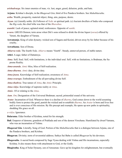<span id="page-49-8"></span>*arishadvarga*. Six inner enemies of man, viz. lust, anger, greed, delusion, pride, and hate.

<span id="page-49-7"></span>**Arjuna**. [Krishna](#page-55-5)'s disciple, in the *[Bhagavad Gita](#page-49-9)*; third of five [Pandava](#page-57-13) brothers. See *[Mahabharatha](#page-55-15)*.

<span id="page-49-13"></span>*artha*. Wealth, prosperity, material object, thing, aim, purpose, desire.

- *Aryan*. (a) Literally noble. (b) Follower of *[Vedic](#page-63-3)* or spiritual path. (c) Ancient dwellers of India who composed the *[Rig-veda](#page-59-18)*; the chief tribe was that of the *Bharathas*.
- *asanthi*. Lack of peace; agitated mind; restlessness. Opposite of *[santhi](#page-60-1)*.
- <span id="page-49-12"></span>*a-sura*. GRUES Demon; term arose when Diti's sons refused to drink the divine liquor (*suraa*) offered by Varuni, the daughter of [Varuna](#page-63-6).
- <span id="page-49-10"></span>**Aswamanja**. King of solar dynasty; wicked son of [Sagara](#page-59-17) and [Kesini](#page-54-13); driven away by his father because of his cruelty..

**Aswathama**. Son of [Drona](#page-52-9).

*Atharva-veda*. The fourth *[Veda](#page-63-7)*. *Atharva* means "fourth". Steady, unmoved person, of stable nature.

<span id="page-49-11"></span>**Athri**. A sage; father of [Dattatreya.](#page-51-12)

- <span id="page-49-0"></span>*Atma*. Self; Soul. Self, with limitations, is the individual soul. Self, with no limitations, is [Brahman,](#page-50-1) the Supreme Reality.
- <span id="page-49-3"></span>*Atma-ananda*. *[Atmic](#page-49-1)* bliss, bliss of Self-realization.

*Atma-dharma*. *[Atmic](#page-49-1)* duty, divine duty.

*Atma-jnana*. Knowledge of Self-realization; awareness of *[Atma](#page-49-0)*.

*Atma-swarupa*. Embodiment of the all-pervading divine Self.

<span id="page-49-2"></span>*Atma-thathwa*. True nature of *[Atma](#page-49-0)*, the *[Atmic](#page-49-1)* Principle.

*Atma-vidya*. Knowledge of supreme reality or *[Atma](#page-49-0)*.

<span id="page-49-1"></span>*Atmic*. Of or relating to the *[Atma](#page-49-0)*.

<span id="page-49-14"></span>*Aum*. *[Om](#page-57-6)*; Designation of the Universal [Brahman;](#page-50-1) sacred, primordial sound of the universe.

<span id="page-49-4"></span>*Avatar*. Incarnation of God. Whenever there is a decline of *[dharma](#page-51-0)*, God comes down to the world assuming bodily form to protect the good, punish the wicked and re-establish *[dharma](#page-51-0)*. An *Avatar* is born and lives free and is ever conscious of His mission. By His precept and example, He opens up new paths in spirituality, shedding His grace on all.

<span id="page-49-15"></span>*a-vidya*. Ignorance.

<span id="page-49-5"></span>**Balarama**. Elder brother of [Krishna](#page-55-5), noted for his strength.

- <span id="page-49-16"></span>**Bali**. Emperor of demons; grandson of [Prahlada](#page-57-10) and son of the demon Virochana. Humiliated by dwarf [Vamana](#page-63-8), who was an incarnation of [Vishnu](#page-64-3).
- <span id="page-49-9"></span>*Bhagavad Gita*. Literally, Song of God. Portion of the *[Mahabharatha](#page-55-15)* that is a dialogue between [Arjuna](#page-49-7), one of the [Pandava](#page-57-13) brothers, and [Krishna.](#page-55-5)
- **Bhagavan**. Divinity; term of reverential address; Sathya Sai Baba is called *Bhagavan* by his devotees.
- <span id="page-49-6"></span>*Bhagavatha*. A sacred book composed by Sage [Vyasa](#page-64-4) dealing with [Vishnu](#page-64-3) and His incarnations, especially [Krishna.](#page-55-5) It also means those with attachment to God, or the Godly.

**Bhagiratha**. King of Solar Dynasty, son of Amsuman. Gave up his kingdom for enlightenment, but eventually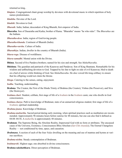returned as king..

*bhajans*. Congregational chant group worship by devotees with devotional music in which repetition of holy names predominates.

<span id="page-50-3"></span>*bhaktha*. Devotee of the Lord.

<span id="page-50-0"></span>*bhakthi*. Devotion to God.

<span id="page-50-5"></span>*Bharath*. India; Indian; descendent of King Bharath, first emperor of India.

<span id="page-50-15"></span>**Bharatha**. Son of [Dasaratha](#page-51-13) and [Kaika](#page-54-14); brother of [Rama](#page-58-5). "Bharatha" means "he who rules". The *Bharathas* are the Indians.

*Bharatha-desa*. India; region of God-loving people.

<span id="page-50-6"></span>*Bharatha-khanda*. Continent of [Bharath](#page-50-5) (India).

- *Bharatha-varsha*. Culture of India.
- <span id="page-50-7"></span>*Bharathiya*. Indian, dweller in the country of Bharath (India).
- <span id="page-50-4"></span>*bhava-roga*. Disease of worldliness.
- <span id="page-50-10"></span>*bhava-samadhi*. Mental union with the Divine.

<span id="page-50-17"></span>**Bhima**. Second of five [Pandava](#page-57-13) brothers; named for his size and strength. See *[Mahabharatha](#page-55-15)*.

- <span id="page-50-18"></span>**Bhishma**. The guardian and patriarch of the [Kauravas](#page-54-7) and [Pandavas](#page-57-13). Son of King [Shantanu.](#page-61-1) Remarkable for his wisdom and unflinching devotion to God. Trapped by his fate to fight on side of evil [Kauravas](#page-54-7); bled to death on a bed of arrows while thinking of God. See *[Mahabharatha](#page-55-15)*. He also vowed life-long celibacy to ensure that his offspring would not claim the throne.
- <span id="page-50-2"></span>*bhoga*. Catering to the senses, eating, enjoyment.
- <span id="page-50-13"></span>*bodha*. Teaching, understanding.
- <span id="page-50-14"></span>**Brahma**. The Creator, the First of the Hindu Trinity of Brahma (the Creator), [Vishnu](#page-64-3) (the Preserver), and [Siva](#page-61-0)  (the Destroyer).
- *brahma-chari*. Student, celibate, first stage of life of a *[brahmin](#page-51-3)* in the *[brahmin](#page-51-3)* caste; one who dwells in God consciousness.
- <span id="page-50-9"></span>*brahma-charya*. Path to knowledge of [Brahman;](#page-50-1) state of an unmarried religious student; first stage of life of a *[brahmin](#page-51-3)*; spiritual studentship.
- <span id="page-50-11"></span>*Brahma-jnana*. Knowledge of [Brahman.](#page-50-1)
- *Brahma-muhurtha*. Sacred period during early morning, when spiritual practices such as meditation are recommended. Approximately 96 minutes hours before sunrise for 48 minutes, but one can also find it defined as 04:08–04:56. A *muhurtha* is approximately 48 minutes.
- <span id="page-50-1"></span>**Brahman**. The Supreme Being, the Absolute Reality, Impersonal God with no form or attributes. The uncaused cause of the Universe, Existence, Consciousness-Bliss Absolute (*Sat-Chit-Ananda*); The Eternal Changeless Reality — not conditioned by time, space, and causation.
- <span id="page-50-16"></span>*Brahmana*. A section of each of the four *[Vedas](#page-63-1)* dwelling on the meaning and use of mantras and hymns at various sacrifices.
- <span id="page-50-12"></span>*Brahma-nishta*. Steady contemplation of [Brahman.](#page-50-1)

<span id="page-50-8"></span>*brahmarshi*. Highest sage; one absorbed in divine consciousness.

**Brahma-sakshathkara**. Direct perception of Brahman.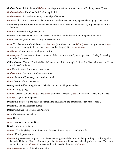<span id="page-51-19"></span>*Brahma Sutra*. Spiritual text of *Vedantic* teachings in short maxims, attributed to Badharayana or [Vyasa.](#page-64-4)

*Brahma-thathwa*. Formless God, [Brahman](#page-50-1) principle.

*Brahma-vidya*. Spiritual attainment, knowledge of [Brahman](#page-50-1).

<span id="page-51-3"></span>*brahmin*. First of four [castes](#page-51-14) of social order, the priestly or teacher caste; a person belonging to this [caste.](#page-51-14)

<span id="page-51-20"></span>*Brihadaranyaka Upanishad*. The *Upanishad* that sets forth teachings maintained by Yajnavalkya regarding Brahman.

*buddha*. Awakened, enlightened, wise.

<span id="page-51-1"></span>**Buddha**. Prince Gautama, circa 556–480 BC. Founder of Buddhism after attaining enlightenment.

<span id="page-51-9"></span>*buddhi*. Intellect, intelligence, faculty of discrimination.

<span id="page-51-14"></span>**caste**. The four castes of social order are: *brahmin* (priestly or teacher), *[kshatriya](#page-55-6)* (warrior, protector), *vaisya* (trader, merchant, agriculturist), and *sudra* (worker, helper). See *[varna dharma](#page-51-14)*.

*chaithanya*. Consciousness, intelligence, spirit.

<span id="page-51-7"></span>*chandrayana*. Lunar system of measurements of time; also, a vow of penance performed during the waxing period of the moon.

**Chidambaram**. Town 122 miles SSW of Chennai, noted for its temple dedicated to Siva in his aspect of "cosmic dancer", Nataraja.

*chit*. Consciousness, knowledge, awareness.

*chith-swarupa*. Embodiment of consciousness.

<span id="page-51-18"></span>*chittha*. Mind stuff, memory, subconscious mind.

<span id="page-51-10"></span>*dama*. Control of the outer senses.

**Damayanthi**. Wife of King Nala of Nishada, who lost his kingdom at dice.

<span id="page-51-2"></span>*dana*. Charity, giving.

<span id="page-51-6"></span>*danava*. Class of demons, *daityas*, or *[asuras](#page-49-12)*; enemies of the Gods (*[devas](#page-51-15)*). Children of Dhanu and Kasyapa.

<span id="page-51-5"></span>*darshan*. Sight of a holy person.

<span id="page-51-13"></span>**Dasaratha**. Son of Aja and father of [Rama;](#page-58-5) King of Ayodhya; the name means "ten chariot hero".

<span id="page-51-16"></span>**Dasarathi**. Son of [Dasaratha](#page-51-16): [Rama.](#page-58-5)

<span id="page-51-12"></span>**Dattatreya**. Sage son of [Athri](#page-49-11) and [Anasuya](#page-48-15).

<span id="page-51-11"></span>*daya*. Compassion, sympathy.

<span id="page-51-4"></span>*deha*. Body.

<span id="page-51-15"></span>*deva*. Deity, celestial being, God.

<span id="page-51-17"></span>**Devaki**. Mother of [Krishna](#page-55-5).

*dhaana*. Charity, giving —sometimes with the goal of receiving a particular benefit.

<span id="page-51-8"></span>*dhana*. Wealth, possessions.

<span id="page-51-0"></span>*dharma*. Righteousness, religion, code of conduct, duty, essential nature of a being or thing. It holds together the entire Universe. Man is exhorted to practise *dharma* to achieve material and spiritual welfare. The *[Vedas](#page-63-1)* contain the roots of *dharma*. God is naturally interested in the reign of *dharma*.

*dharma-karma*. Act of duty, virtuous action.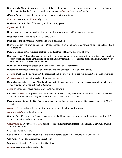**Dharmaraja**. Name for [Yudhistira,](#page-64-5) eldest of the five [Pandava](#page-57-13) brothers. Born to [Kunthi](#page-55-16) by the grace of [Yama](#page-64-1)  [Dharmaraaja,](#page-64-1) Lord of Death. Named for adherence to *[dharma](#page-51-0)*. See *[Mahabharatha](#page-55-15)*.

<span id="page-52-16"></span>*Dharma Sastras*. Codes of law and ethics concerning virtuous living.

<span id="page-52-10"></span>*dharmic*. According to *[dharma](#page-52-10)*, righteous.

<span id="page-52-12"></span>**Dhritharashtra**. Father of [Kauravas;](#page-54-7) holder of ruling power.

*dhyana*. Meditation.

- <span id="page-52-9"></span>**Dronacharya**. Drona, the teacher of archery and war tactics for the [Pandavas](#page-57-13) and [Kauravas.](#page-54-7)
- <span id="page-52-11"></span>**Droupadi**. Wife of [Pandavas.](#page-57-13) See *[Mahabharatha](#page-55-15)*.
- **Drupada**. King of Panchala (Punjab) and father of [Droupadi](#page-52-11).
- <span id="page-52-7"></span>**Druva**. Grandson of [Brahma](#page-50-14) and son of Uttanapadha; as a child, he performed severe penance and attained selfrenunciation.
- **Durga**. Goddess of the universe; mother earth; daughter of Himaval and wife of [Siva](#page-61-0).
- <span id="page-52-8"></span>**Durvasa**. Son of Athri and Anasuya; known for quick temper and severe curses with an eventually constructive effect of driving home hard lessons of discipline and virtuousness. He granted boons to Kunthi, which resulted in the births of [Karna](#page-54-15) and the [Pandavas](#page-57-13).
- <span id="page-52-13"></span>**Duryodhana**. Chief (and eldest) of the evil-minded sons of [Dhritharashtra.](#page-52-12)
- **Dussasana**. Infamous second son of [Dhritharashtra](#page-52-12) and younger brother of [Duryodhana](#page-52-13).
- <span id="page-52-2"></span>*dwaitha*. Dualism, the doctrine that the individual and the Supreme Soul are two different principles or entities
- <span id="page-52-5"></span>*Dwapara-yuga*. Third in the cycle of four ages. See *yuga*.
- <span id="page-52-1"></span>**Dwaraka**. Capital of [Krishna.](#page-55-5) After [Krishna'](#page-55-5)s death the city was swept over by the sea; researchers believe it was situated in the sea just west of Gujarat.
- <span id="page-52-3"></span>*dwipa*. Island; one of seven divisions of the terrestial world.
- <span id="page-52-14"></span>**Easwara**. *[Iswara](#page-53-5)* The Supreme Lord. Easwara is the Lord of every creature in the universe. Hence, the entire cosmos is reflected as an image in the Lord. [Siva](#page-61-0) is often called Easwara.
- **Easwaramma**. Sathya Sai Baba's mother; means *the mother of [Easwara](#page-52-14)* (*God*). She passed away on 6 May 6 1998.
- *Ekadasi*. Eleventh day of fortnight of lunar month; considered sacred for fasting.

<span id="page-52-4"></span>*ekantha-mukthi*. Absolute liberation.

- <span id="page-52-17"></span>**Ganga**. The 1560-mile-long Ganges river; starts in the Himalayas and flows generally east into the Bay of Bengal; the most sacred river of India.
- <span id="page-52-18"></span>*Gayatri mantra*. A very sacred *[Vedic](#page-63-3)* prayer for self-enlightenment; it is repeated piously at dawn, noon, and twilight devotions.

<span id="page-52-0"></span>*Gita*. See *Bhagavad Gita*.

**Godavari**. Sacred river of south India; cuts across central south India, flowing from west to east.

<span id="page-52-6"></span>**Gouranga**. Name for Chaithanya, a great saint.

<span id="page-52-15"></span>**Gopala**. Cowherd boy. A name for Lord [Krishna](#page-55-5).

*gopura*. Decorated gate to the temple.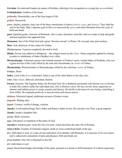**Govinda**. Govinda and [Gopala](#page-52-15) are names of Krishna, referring to his occupation as a young boy as a cowherd.

**Grihalakshmi**. Goddess of the home.

*grihastha*. Householder, one of the four stages of life.

*grihini*. Housewife.

- <span id="page-53-11"></span>*guna*. Quality, property, trait; one of the three constituents of nature (*sathwa*, *[rajas](#page-58-16)*, and *thamas*). They bind the soul to the body. Man's supreme goal in life is to transcend the *gunas* and attain liberation from the cycle of birth and death.
- <span id="page-53-0"></span>**guru**. Spiritual guide; a knower of [Brahman](#page-50-1), who is calm, desireless, merciful, and ever ready to help and guide spiritual aspirants who approach him.
- **Hanuman**. Son of the Wind God and a great "devotee servant'' of [Rama](#page-58-5). He was part man, part monkey.

<span id="page-53-10"></span>**Hari**. God; destroyer of sins; name for [Vishnu](#page-64-3).

- <span id="page-53-3"></span>*Hariparayana*. A person completely devoted to God.
- **Hindu**. Person who adheres to Hinduism —the religion based on the *[Vedas](#page-63-1)*. Name originally applied by foreign invaders to inhabitants of Indus (Sindhu) river valley.
- <span id="page-53-17"></span>**Hiranyakasipu**. A demonic person who forbade mention of [Vishnu'](#page-64-3)s name, wicked father of [Prahlada](#page-57-10), who was a great devotee of the Lord; killed by the man-lion [Narashimha](#page-56-12), an *[Avatar](#page-49-4)* of [Vishnu](#page-64-3).
- **Hiranyaksha**. Wicked brother of [Hiranyakasipu;](#page-53-17) killed by the wild boar *[Avatar](#page-49-4)* of [Vishnu.](#page-64-3)

<span id="page-53-9"></span>*hridaya*. Heart.

**Indra**. Lord of the *[devas](#page-51-15)* (celestials). Indra is one of the chief deities in the *[Rig veda](#page-63-1)*..

<span id="page-53-8"></span>*ishta*. Also *ishtam*. Beloved, cherished, desired.

- <span id="page-53-5"></span>**Iswara**. Easwara. The Supreme Ruler, the Personal God. He is [Brahman](#page-50-1) associated with illusion (*[maya](#page-56-8)*) but has it under His control, unlike the individual soul, who is illusion's slave. He has a lovely form, auspicious attributes, and infinite power to create, sustain, and destroy. He dwells in the heart of every being, controlling it from within. He responds positively to true devotion and sincere prayer.
- <span id="page-53-18"></span>*ithihasa*. Historical legend, traditional account of former events.

*jaagrath*. Waking state.

<span id="page-53-13"></span>*jagath*. Cosmos, world of change, creation.

<span id="page-53-7"></span>**Janaka**. A self-realized king; [Sita](#page-61-2)'s father and [Rama'](#page-58-5)s father-in-law. His ancestor was Nimi, a great emperor.

**Janaki**. Janaka's daughter Sita.

<span id="page-53-14"></span>*janma*. Birth, existence.

<span id="page-53-12"></span>*japa*. Soft prayer or repetition of the name of God.

<span id="page-53-16"></span>**Jayadeva**. Sanskrit poet; wrote the *Gita Govinda*, which describes the early life of Krishna.

<span id="page-53-1"></span>**Jesus Christ**. Founder of Christian religion; death on cross symbolized death of the ego.

<span id="page-53-4"></span>*jiva*. Individual or soul, in a state of non-realisation of its identity with [Brahman](#page-50-1). It is unaware of its own nature and is subjected to sensations of pain and pleasure, birth and death, etc.

<span id="page-53-6"></span>*jivan-muktha*. One who is liberated in this life.

<span id="page-53-15"></span>*jivi*. Individual or soul.

<span id="page-53-2"></span>*jnana*. Sacred knowledge; knowledge of the spirit, pursued as a means to Self-realisation. It is direct experience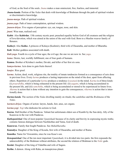of God, as the Soul of the souls. *Jnana* makes a man omniscient, free, fearless, and immortal.

- <span id="page-54-17"></span>*Jnana-kanda*. Portion of the *[Vedas](#page-63-1)* that deals with knowledge of [Brahman](#page-50-1) through the path of spiritual wisdom or discriminative knowledge.
- *jnana-marga*. Path of spiritual wisdom.
- *jnana-yoga*. Path of inner contemplation, spiritual wisdom.
- <span id="page-54-3"></span>*jnanen-driyas*. Five organs of perception: eye, ear, tongue, nose, and skin.
- <span id="page-54-4"></span>*jnani*. Wise man, realized soul.
- <span id="page-54-11"></span>**Kabir**. Also **Kabirdas**. 15th century mystic poet; preached equality before God of all creatures and the religion of love/devotion, which was aimed at the union of the soul with God. Born to a Muslim weaver family of **Benares**
- <span id="page-54-14"></span>**Kaikeyi**. Also **Kaika**. A princess of Kekaya (Kashmir), third wife of [Dasaratha,](#page-51-13) and mother of [Bharatha.](#page-50-15)
- <span id="page-54-10"></span>**Kali**. Mother goddess associated with death.
- <span id="page-54-0"></span>*Kali-yuga*. Fourth in a cycle of four ages; the evil age; the one we are now in. See *yuga*.
- <span id="page-54-16"></span>*kama*. Desire, lust, worldly fulfillment; one of four goals of humans.
- **Kamsa**. Brother of [Krishna'](#page-55-5)s mother, [Devaki,](#page-51-17) and killer of her first six sons.
- *kamya-karma*. Acts done to gain fruits thereof.
- <span id="page-54-6"></span>*kanjee*. Rice gruel.
- <span id="page-54-1"></span>*karma*. Action, deed, work, religious rite, the totality of innate tendencies formed as a consequence of acts done in previous lives. Every *karma* produces a lasting impression on the mind of the doer, apart from affecting others. Repetition of a particular *karma* produces a tendency (*vasanas*) in the mind. *Karma* is of three kinds: (i) *praarabdha*, which is being exhausted in the present life: (ii) *aagami*, which is being accumulated in the present life, and (iii) *samchitha*, which is being accumulated or stored to be experienced in future lives. *Akarma* is action that is done without any intention to gain the consequences; *vikarma* is action that is inten
	- tionally done.
- *Karma-kanda*. The section of the *[Vedas](#page-63-1)* dwelling mainly on rituals; the *[samhithas](#page-59-19)* and the *[Brahmana](#page-50-16)* of the *[Vedas](#page-63-1)*.
- <span id="page-54-2"></span>*karmen-driyas*. Organs of action: larynx, hands, feet, anus, sex organs.
- <span id="page-54-5"></span>*karma-yogi*. *Yogi* who dedicates his actions to God.
- <span id="page-54-15"></span>**Karna**. Half-brother of the [Pandavas](#page-57-13). Valiant but unfortunate eldest son of [Kunthi](#page-55-16) by the Sun deity. Ally of the [Kauravas](#page-54-7) in the war with [Pandavas.](#page-57-13)
- <span id="page-54-8"></span>*Kathopanishad*. One of most popular *[Upanishads](#page-62-1)* because of its clarity and brevity in expressing mystic truths; contains famous dialogue between Nachikethas and [Yama](#page-64-1), God of death.
- <span id="page-54-7"></span>**Kauravas**. Family that fought [Pandavas.](#page-57-13) See *[Mahabharatha](#page-55-15)*.
- **Kausalya**. Daughter of the King of Kosala, first wife of [Dasaratha,](#page-51-13) and mother of [Rama.](#page-58-5)
- **Kausika**. Name for [Viswamitra](#page-64-2), since he was Kusa's son.
- <span id="page-54-9"></span>*Kenopanishad*. One of the ten most important *[Upanishads](#page-62-1)*; it is divided into two parts: the first expounds the unknowability of the [Brahman](#page-50-1) without attributes, the second the relation of [Brahman](#page-50-1) to the *[Vedic](#page-63-3)* gods.
- <span id="page-54-13"></span>**Kesini**. Daughter of the king of [Vidarbha](#page-63-9) and wife of [Sagara](#page-59-17).
- <span id="page-54-12"></span>**Kethu**. A demon. Along with [Rahu](#page-58-13), an inauspicious planet.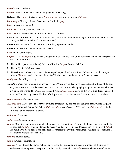<span id="page-55-7"></span>*khanda*. Part; continent.

<span id="page-55-4"></span>*kirtana*. Recital of the name of God; singing devotional songs.

<span id="page-55-5"></span>**Krishna**. The *[Avatar](#page-49-4)* of [Vishnu](#page-64-3) in the *Dwapara yuga*, prior to the present *Kali yuga*.

<span id="page-55-13"></span>*kritha-yuga*. First age of man, Golden age of truth. See *yuga*.

<span id="page-55-2"></span>*kriya*. Action, activity, will.

<span id="page-55-6"></span>*kshatriya*. Protector, warrior; see c[aste](#page-51-14).

*kumkum*. Auspicious mark of vermillion placed on forehead.

<span id="page-55-16"></span>**Kunthi**. Also **Kunthi Devi**. Mother of [Pandavas](#page-57-13), wife of King Pandu (the younger brother of emperor Dhritharashtra), and sister of [Krishna](#page-55-5)'s father [\(Vasudeva](#page-63-10)).

<span id="page-55-12"></span>**Lakshmana**. Brother of [Rama](#page-58-5) and son of [Sumitra](#page-62-7); represents intellect.

**Lakshmi**. Consort of [Vishnu](#page-64-3), goddess of wealth.

<span id="page-55-11"></span>*leela*. Divine sport or play.

*lingam*. Also *Sivalingam*. Egg-shaped stone; symbol of [Siva;](#page-61-0) the form of the formless; symbolizes merger of the form with the formless.

<span id="page-55-14"></span>**Madhava**. God (name for [Krishna](#page-55-5)); Master of illusion (*[maya](#page-56-8)*), Lord of Lakshmi.

**Madhava (2)**. See [Madhwacharya.](#page-55-17)

<span id="page-55-17"></span>**Madhwacharya**. 13th cent. exponent of dualist philosophy; lived in the South Indian court of Vijayanagar; author of *Vedantic* works; founder of a sect of Vaishnavas; refuted monism of Sankaracharya.

*madhyama*. Middling, average.

<span id="page-55-15"></span>*Mahabharatha*. The Hindu epic composed by Sage [Vyasa,](#page-64-4) which deals with the deeds and fortunes of the cousins (the [Kauravas](#page-54-7) and [Pandavas\)](#page-57-13) of the Lunar race, with Lord [Krishna](#page-55-5) playing a significant and decisive role in shaping the events. The *[Bhagavad Gita](#page-49-9)* and *Vishnu [Sahasranama](#page-59-20)* occur in this great epic. It is considered to be the Fifth *[Veda](#page-63-1)* by devout Hindus. Of this great epic, it is claimed that "what is not in it is nowhere.

<span id="page-55-3"></span>*maha-purusha*. Outstanding sage.

*Mahasamadhi*. The conscious departure from the physical body of a realized soul; the shrine where the physical body is buried. Sathya Sai Baba's *Mahasamadhi* was on 24 April 2011, and His *Mahasamadhi* is in Sai Kulwant Hall in Prasanthi Nilayam.

<span id="page-55-0"></span>*mahatma*. Great soul.

<span id="page-55-1"></span>*mahavakya*. Great aphorism.

<span id="page-55-8"></span>*manas*. Mind, the inner organ, which has four aspects: (i) mind (*manas*), which deliberates, desires, and feels; (ii) intellect (*[buddhi](#page-51-9)*), which understands, reasons, and decides; (iii) the 'I' sense, and (iv) memory (*[chitha](#page-51-18)*). The mind, with all its desires and their broods, conceals the Divinity within man. Purification of the mind is essential for realisation of the Self.

<span id="page-55-10"></span>*manava*. Human being.

<span id="page-55-9"></span>*manthri*. Counselor, minister.

*mantra*. A sacred formula, mystic syllable or word symbol uttered during the performance of the rituals or meditation. They represent the spiritual truths directly revealed to the *[rishis](#page-59-5)* (seers). The section of the *[Veda](#page-63-1)*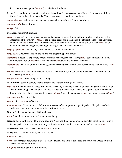that contains these hymns (*mantras*) is called the *[Samhitha](#page-59-19)*.

- <span id="page-56-13"></span>**Manu**. The first father of mankind; author of the codes of righteous conduct (*[Dharma Sastras](#page-52-16)*); son of [Surya](#page-62-8)  (the sun) and father of Vaivaswatha Manu, the present progenitor of mankind.
- *Manu-dharma*. Code of virtuous conduct presented in the *[Dharma Sastras](#page-52-16)* by Manu.
- *Manu-smrithi*. Laws of [Manu](#page-56-13).

<span id="page-56-7"></span>*marga*. Path.

- <span id="page-56-4"></span>**Mathura**. [Krishna'](#page-55-5)s birthplace.
- <span id="page-56-8"></span>*maya*. Delusion. The mysterious, creative, and delusive power of [Brahman](#page-50-1) through which God projects the appearance of the Universe. *Maya* is the material cause and [Brahman](#page-50-1) is the efficient cause of the Universe. [Brahman](#page-50-1) and *maya* are inextricably associated with each other like fire and its power to heat. *Maya* deludes the individual souls in egoism, making them forget their true spiritual nature.
- <span id="page-56-9"></span>*maya-prapancha*. This illusory world, composed of the five elements.
- *maya-sakthi*. Power of illusion, the veiling and projecting power of God.
- <span id="page-56-15"></span>*Mimamsa*. Exegetical-expository school of Indian metaphysics, the earlier (*purva*) concerning itself chiefly with interpretation of *Vedic* ritual and the later (*[uttara](#page-62-9)*) with the nature of [Brahman.](#page-50-1)
- *Mimamsaka*. Adherent of philosophical system concerning itself chiefly with correct interpretation of the *[Vedic](#page-63-3)* rituals.
- *mithya*. Mixture of truth and falsehood; neither true nor untrue, but something in between. The world is not untrue (*asat*) but *mithya*.
- <span id="page-56-10"></span>*mithya-achara*. Unreal living, deluded living.
- **Mohammed**. Seventh century Arabic prophet and founder of religion of Islam.
- <span id="page-56-6"></span>*moksha*. Liberation from all kinds of bondage, especially the one to the cycle of birth and death. It is a state of absolute freedom, peace, and bliss, attained through Self-realisation. This is the supreme goal of human endeavour, the other three being, righteousness (*[dharma](#page-51-0)*), wealth and power (*[artha](#page-49-13)*), and sense-pleasure (*[kama](#page-54-16)*).
- <span id="page-56-1"></span>*Moksha-puri*. Salvation City.
- <span id="page-56-11"></span>*mukthi*. See *[moksha](#page-56-6)*.*[ahabharatha](#page-55-15)*.
- <span id="page-56-2"></span>*nama-smarana*. Remembrance of God's name — one of the important steps of spiritual discipline to obtain God's grace and to make progress in the spiritual journey.
- **Nanak**. 15th century founder of Sikh religion.
- <span id="page-56-3"></span>*nara*. Man; divine man; primeval man, human being.
- <span id="page-56-5"></span>**Narada**. Sage-bard; traveled the world chanting [Narayana](#page-56-14). Famous for creating disputes, resulting in solutions for the spiritual advancement or victory of the virtuous. Expert in law and author of texts on *[dharma](#page-51-0)*.
- <span id="page-56-12"></span>**Narasimha**. Man-lion. One of the ten *[Avatars](#page-49-4)* of [Vishnu](#page-64-3).
- <span id="page-56-14"></span>**Narayana**. The Primal Person, the Lord, [Vishnu](#page-64-3).

### *nasthika*. Atheist.

*neem*. The margosa tree, which exudes a tenacious gum, has a bitter bark used as a tonic, and whose fruit and seeds have medicinal properties.

<span id="page-56-0"></span>*nir-guna*. Without qualities, attributeless.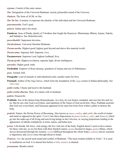<span id="page-57-12"></span>*niyama*. Control of the outer senses.

<span id="page-57-6"></span>*Om*. Designation of the Universal [Brahman](#page-50-1); sacred, primordial sound of the Universe.

*Omkara*. The form of [AUM,](#page-49-14) or Om.

<span id="page-57-5"></span>*Om Tat Sat.* A mantra; it expresses the identity of the individual and the Universal [Brahman](#page-50-1).

*paaramaartha*. Fool's goal.

<span id="page-57-8"></span>*pakora*. Indian spicy hot snack.

<span id="page-57-13"></span>**Pandavas**. Sons of Pandu; family of 5 brothers that fought the [Kauravas:](#page-54-7) [Dharmaraja,](#page-64-5) [Bhima,](#page-50-17) [Arjuna,](#page-49-7) Nakula, and Sahadeva. See *[Mahabharatha](#page-55-15)*.

<span id="page-57-7"></span>*para-bhakthi*. Supremest devotion.

*Parabrahman*. Universal Absolute Brahman.

<span id="page-57-2"></span>*Param-aartha*. Highest good; highest goal beyond and above this material world.

<span id="page-57-4"></span>*Param-atma*. Supreme Self, Supreme *[Atma](#page-49-0)*.

<span id="page-57-0"></span>**Parameswara**. Supreme Lord, highest Godhead, [Siva.](#page-61-0)

<span id="page-57-11"></span>*Param-jyothi*. Highest revelation, supreme light, divine intelligence.

<span id="page-57-1"></span>*parartha*. Higher good, truth.

<span id="page-57-9"></span>**Parikshith**. Emperor of Kuru dynasty; grandson of [Arjuna](#page-49-7) and son of [Abhimanyu.](#page-48-16)

*pasu*. Animal, bull.

**Pasupathi**. Lord of animals or individualized souls; another name for [Siva.](#page-61-0)

<span id="page-57-16"></span>**Patanjali**. Author of the *[Yoga Sutras](#page-64-6)*, which form the foundation of the *yoga* system of Indian philosophy. See *[raja-yoga](#page-58-17)*.

<span id="page-57-14"></span>*pathi-vratha*. Chaste and loyal to the husband.

*pathi-vratha-dharma*. Duty of a chaste wife to husband.

*pathni*. Housewife.

<span id="page-57-10"></span>**Prahlada**. Son of the demon king [Hiranyakasipu.](#page-53-17) As a boy, he was beaten, trampled, and cast into fire and water. But he saw only God everywhere, and repetition of the Name of God saved him. Once, [Prahlada](#page-57-10) asserted that God was everywhere, and [Narayana](#page-56-14) appeared in his man-lion form from within a pillar to destroy the king.

<span id="page-57-3"></span>*prakriti*. Nature, the Divine Power of Becoming. Also known as *[maya](#page-56-8)*, *[avidya](#page-49-15)*, and *[sakthi](#page-59-21)*; the world of matter and mind as opposed to the spirit. *Prakriti* has three dispositions or *[gunas](#page-53-11)* (*sathwa*, *[rajas](#page-58-16)*, and *thamas*), which go into the make-up of all living and non-living beings in the Universe, in varying proportions leading to the appearance of infinite multiplicity in form, nature, and behaviour.

*prana*. Life-breath, life force, vital energy, the five vital airs of the body. English doesn't seem to have names for these vital airs, so we list them with their Sanskrit names: *prana* (located in lungs), *apana* (flatus, which moves downward through the rectum), *vyana* (diffused throughout the whole body), *[samana](#page-59-22)* (navel; essential to digestion), and *udana* (rises through throat to head).

<span id="page-57-15"></span>*Pranava*. *Om*; the sacred seed-sound and symbol of [Brahman.](#page-50-1) "The most exalted syllable in *[Vedas](#page-63-1)*". It is used in meditation on God. It is uttered first before a *[Vedic](#page-63-3) mantra* is chanted.

*pranayama*. Breath control.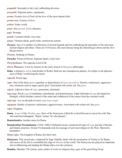<span id="page-58-10"></span>*prapatthi*. Surrender to the Lord, unflinching devotion.

*prasanthi*. Supreme peace, equanimity.

<span id="page-58-0"></span>*prema*. Ecstatic love of God; divine love of the most intense kind.

<span id="page-58-4"></span>*prema-rasa*. Essence of love.

*prithvi*. Earth, world.

<span id="page-58-9"></span>*priya*. Also *priyam*. Love, dearness.

<span id="page-58-2"></span>*puja*. Worship.

*pundit*. Learned scholar, wise man.

<span id="page-58-11"></span>*punya*. Virtuous deeds, good works, meritorious actions.

<span id="page-58-1"></span>*Puranas*. Any of a number of collections of ancient legends and lore embodying the principles of the universal, eternal religion and ethics. There are 18 *Puranas*, the most famous being the *Mahabhagavatham* and the *Devi Bhagavatham*.

*Puranic*. Relating to [Purana](#page-58-1).

- **Purusha**. Primeval Person, Supreme Spirit, Lord, God.
- <span id="page-58-3"></span>*Purushothama*. The supreme Lord of all.

*Purva Mimamsa*. A text by Jaimini on the early school of *[Mimamsa](#page-56-15)* philosophy.

<span id="page-58-13"></span>**Rahu**. A demon (*[a-sura](#page-49-12)*), step-brother of [Kethu.](#page-54-12) Both are also inauspicious planets; An eclipse is the phenomenon of Rahu 'swallowing the moon'.

*rajarshi*. Royal sage.

- <span id="page-58-16"></span>*rajas*. One of the three *[gunas](#page-53-11)* (qualities or dispositions) of *[maya](#page-56-8)* or *[prakriti](#page-57-3)*. Passion, restlessness, aggressiveness, emotions such as anger, greed, grief. Associated with colour red. See *[guna](#page-53-11)*.
- *rajasic*. Adjective form of *[rajas](#page-58-16)*, passionate, emotional.
- <span id="page-58-17"></span>*raja-yoga*. Royal *yoga* of meditation, detachment, and desirelessness. Eight-fold path of *yoga* developed by [Patanjali,](#page-57-16) which includes control of the mind and withdrawal of the senses from the external world.
- <span id="page-58-6"></span>*raja-yogi*. *Yogi* on the path of royal *yoga* (*[raja-yoga](#page-58-17)*).
- *rajoguna*. Quality of passion, restlessness, aggressiveness. Associated with colour red. See *[guna](#page-53-11).*

*rajya*. Kingdom.

- <span id="page-58-5"></span>**Rama**. *[Avatar](#page-49-4)* of the *Thretha yuga*. Hero of the *[Ramayana](#page-58-14)*; killed the wicked [Ravana](#page-59-23) to rescue his wife [Sita](#page-61-2), who had been kidnapped. "Rama" means "he who pleases".
- <span id="page-58-8"></span>**Ramachandra**. Another name for Rama.
- <span id="page-58-15"></span>**Ramakrishna Paramahamsa**. (1836–1886) Celebrated mystic; mastered all types of *yoga* and also Christian and Islamic practices. Swami [Vivekananda](#page-64-0) took his message of universal religion to the West. Married to Saradadevi.
- <span id="page-58-7"></span>*Rama-rajya*. The kingdom of [Rama;](#page-58-5) the ideal ruler.
- <span id="page-58-14"></span>*Ramayana*. This sacred epic, composed by Sage [Valmiki,](#page-63-0) deals with the incarnation of [Vishnu](#page-64-3) as Sri [Rama](#page-58-5), who strove all his life to reestablish the reign of *[dharma](#page-51-0)* in the world. The *Ramayana* has played an important role in influencing and shaping the Hindu ethos over the centuries.
- <span id="page-58-12"></span>**Ramdas**. Maratha 17th century saint; author of work on religious duty; guru of the great King Sivaji.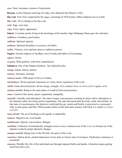*rasa*. Taste, sweetness, essence of enjoyment.

<span id="page-59-23"></span>**Ravana**. Lord of demons and king of Lanka, who abducted [Sita](#page-61-2) [\(Rama](#page-58-5)'s wife).

<span id="page-59-18"></span>*Rig-veda*. First *[Veda](#page-63-1)* composed by the sages, consisting of 1028 hymns. Oldest religious text in world.

*Rig-vedic*. Of or relating to the *[Rig-veda](#page-59-18)*.

<span id="page-59-5"></span>*rishi*. Sage, wise man.

*rupa*. Form, figure, appearance.

<span id="page-59-8"></span>**Sabari**. A woman ascetic living in the hermitage of her teacher, Sage Mathanga; [Rama](#page-58-5) gave her salvation.

<span id="page-59-7"></span>*sadbhava*. Goodness, good nature.

<span id="page-59-4"></span>*sadhaka*. Spiritual aspirant.

<span id="page-59-0"></span>*sadhana*. Spiritual discipline or exercise; self effort.

<span id="page-59-15"></span>*sadhu*. Virtuous, wise aspirant; pious or righteous person.

<span id="page-59-17"></span>**Sagara**. Ancient emperor of Ayodhya; son of Asitha and father of [Aswamanja](#page-49-10).

<span id="page-59-12"></span>*sagara*. Ocean.

<span id="page-59-3"></span>*sa-guna*. With qualities, with form, materialized.

**Sahadeva**. One of the [Pandava](#page-57-13) brothers. See *[Mahabharatha](#page-55-15)*.

<span id="page-59-11"></span>*sahaja*. Innate, inborn, natural.

*sahana*. Tolerance, fortitude.

<span id="page-59-20"></span>*sahasra-nama*. 1000 names of Siva or Vishnu.

<span id="page-59-13"></span>*sakshatkara*. Divine spiritual experience or vision; direct experience of the Lord.

<span id="page-59-21"></span>*sakthi*. Great universal power, divine energy, strength. *Maha* means *Great*, so *Mahasakthi* is great *sakthi*.

<span id="page-59-9"></span>*salokya-mukthi*. Being in the same plane or world of God consciousness.

<span id="page-59-16"></span>*sama*. Control of the senses, peace, equanimity, tranquility.

- <span id="page-59-2"></span>*samadhi*. Literally, total absorption. The state of super consciousness resulting in union with or absorption in the ultimate reality, the Atma; perfect equanimity. The state that transcends the body, mind, and intellect. In that state of consciousness, the objective world and the ego vanish and Reality is perceived or communed with, in utter peace and bliss. When people realise in this state their oneness with God, it is called *nirvikalpa samadhi*.
- <span id="page-59-1"></span>*sama-drishti*. The act of looking on all equally or impartially.

<span id="page-59-22"></span>*samana*. Digestive air; even breath.

- <span id="page-59-14"></span>*sambhasana*. Speech, conversation, dialogue
- <span id="page-59-19"></span>*samhitha*. Collection of methodically arranged verses or text; continous text of the *[Vedas](#page-63-1)* as formed out of the separate words by proper phonetic changes.
- <span id="page-59-10"></span>*samipya-mukthi*. Being close to the Divinity, the glory of the Lord.
- <span id="page-59-6"></span>*samskara*. Inborn desire, mental impression of acts done in former state of existence. Purificatory ceremony or sacrament.
- *samsara*. Worldly life; life of the individual soul through repeated births and deaths. Liberation means getting freed from this cycle.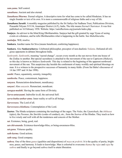<span id="page-60-10"></span>*sam-yama*. Self control.

<span id="page-60-6"></span>*sanathana*. Ancient and also eternal.

- <span id="page-60-8"></span>*Sanathana Dharma*. Eternal religion. A descriptive term for what has come to be called Hinduism. It has no single founder or text of its own. It is more a commonwealth of religious faiths and a way of life.
- <span id="page-60-0"></span>*Sanathana Sarathi*. A monthly magazine published by the Sri Sathya Sai Sadhana Trust, Publications Division, Prasanthi Nilyam 515134, Anantapur District (A.P.), India. The title means *Eternal Charioteer*. It was first published on 16 February 1958. Website: https://saireflections.org/journals/index.php.
- **Sanjaya**. An advisor to the blind King [Dhritharashtra.](#page-52-12) Sanjaya had the gift granted by sage Vyasa of seeing events at a distance, and he tells [Dhritharashtra](#page-52-12) what is happening in the battle. See *[Mahabharatha](#page-55-15)*.

<span id="page-60-7"></span>*sankalpa*. Will, resolve.

- **Sankara**. Another name for [Siva](#page-61-0) (means beneficent, conferring happiness).
- <span id="page-60-2"></span>**Sankara**. Also **Sankaracharya**. Celebrated philosopher, preceptor of non-dualistic *[Vedanta](#page-63-5)*. Defeated all religious opponents in debates throughout India.
- *Sankranthi*. *Sankranthi*, meaning "sacred change", occurs every month as the sun moves from one house of the Zodiac to another. But special sacredness is attached to the movement of the sun to Capricorn (*Makara*), so this day is known as *Makara Sankranthi*. This day is related to the beginning of the apparent northward movement of the sun. This auspicious day heralds the conferment of many worldly and spiritual blessings on man. It is a witness to the prospective successes of humanity in many fields. (From Sai Baba's discourses of 14 Jan 1997 and 14 Jan 1998).
- <span id="page-60-1"></span>*santhi*. Peace, equanimity, serenity, tranquility.

*santhosha*. Peace, contentment, happiness.

- *sanyasa*. Renunciation-detachment, mendicancy.
- <span id="page-60-5"></span>*sanyasi*. Also *sanyasin*. Renunciant, mendicant.
- <span id="page-60-11"></span>*sarupya-mukthi*. Having the same form of Divinity.
- <span id="page-60-9"></span>*Sarva-antaryaami*. Indweller in all, the universal Self.
- *sarva-butha-anthar-atma*. Inner reality or self in all beings.

<span id="page-60-4"></span>*Sarveswara*. The Lord of all.

- <span id="page-60-12"></span>*Sarveswara-chinthana*. Contemplation of the Lord.
- <span id="page-60-3"></span>*Sastras*. The Hindu scriptures containing the teachings of the sages. The *[Vedas](#page-63-1)*, the *[Upanishads](#page-62-1)*, the *[ithihasas](#page-53-18)* (epics), the *[Puranas](#page-58-1)*, the *Smrithis* (codes of conduct), etc., form the *Sastras* of the Hindus. They teach us how to live wisely and well with all the tenderness and concern of the Mother.

*sat*. Existence, being, good, real.

*sat-chit-ananda*. Existence-knowledge-bliss, or being-awareness-bliss.

*sat-guna*. Virtuous quality.

*sath-karma*. Good actions.

*sath-sang*. Good company.

*sathwa*. One of the three *[gunas](#page-53-11)* (qualities and dispositions) of *[maya](#page-56-8)* or *prakriti*. It is the quality of purity, brightness, peace, and harmony. It leads to knowledge. Man is exhorted to overcome *thamas* by *[rajas](#page-58-16)* and *rajas* by *sathwa* and finally to go beyond *sathwa* itself to attain liberation.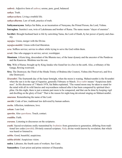*sathwic*. Adjective form of *sathwa*; serene, pure, good, balanced.

*sathya*. Truth.

*sathya-achara*. Living a truthful life.

*sathya-dharma*. Law of truth, practice of truth.

**Sathyanarayana**. Sathya Sai Baba, as an incarnation of [Narayana,](#page-56-14) the Primal Person, the Lord, [Vishnu.](#page-64-3)

<span id="page-61-3"></span>**Satrughna**. [Sumitra](#page-62-7)'s son, twin of [Lakshmana](#page-55-12) and brother of [Rama](#page-58-5). The name means "slayer of enemies".

**Savithri**. Brought husband back to life by outwitting [Yama,](#page-64-1) the Lord of Death, by her power of purity and chastity.

*sayujya*. Union, merger with the Divine.

*sayujya-mukthi*. Union-with-God liberation.

*seva*. Selfless service; service to others while trying to serve the God within them.

*sevak*. One who engages in service; server; worshipper.

- <span id="page-61-1"></span>**Shantanu**. A Kuru king, descendant of the Bharata race, of the lunar dynasty and the ancestor of the [Pandavas](#page-57-13)  and the [Kauravas](#page-54-7). [Bhishma](#page-50-18) was his son.
- <span id="page-61-2"></span>**Sita**. Wife of [Rama](#page-58-5); brought up by King [Janaka](#page-53-7) who found her in a box in the earth. Also, a tributary of the [Ganga](#page-52-17), flowing westward.
- <span id="page-61-0"></span>**Siva**. The Destroyer, the Third of the Hindu Trinity of Brahma (the Creator), [Vishnu](#page-64-3) (the Preserver), and Siva (the Destroyer).
- *Sivarathri*. The fourteenth day of the lunar fortnight, when the moon is waning. Mahasivarathri is the Sivarathri when the sun is in the sign of Aquarius, generally February or March. *Siva-rathri* means "Auspicious darkness". In His discourse of 7 March 1978, Sai Baba explained, "The waned moon may be taken to stand for the mind with all its wild fancies and waywardness reduced after it has been conquered by spiritual discipline. On this night, there is just a minute part more to be conquered, and that can be done by keeping vigil and dwelling on the glory of God." That is the reason for night-long devotional singing on Mahasivarathri.

*smarana*. Remembering the name of the Lord.

*smrithi*. Code of law; traditional law delivered by human authors.

*sneha*. Affection, tenderness, love.

*soham*. I am God.

*sparsha*. Also *sparshana*. Touch, contact.

*sraddha*. Faith.

- *sravana*. Listening to discourses on the scriptures.
- *sruthi*. Sacred revelations orally transmitted by *[brahmins](#page-51-3)* from generation to generation, differing from traditional law codes (*smrithi*). Divinely sourced scripture; *[Veda](#page-63-7)*; divine words known by revelation; that which was heard or listened to.

*subha*. Good, beautiful, auspicious.

*subha-drishti*. Auspicious vision.

**sudra**. Labourer, the fourth caste of workers. See [Caste](#page-51-14).

**Sumanthra**. Court priest and prime minister of [Dasaratha.](#page-51-13)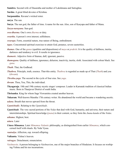<span id="page-62-7"></span>**Sumitra**. Second wife of [Dasaratha](#page-51-13) and mother of [Lakshmana](#page-55-12) and [Satrughna](#page-61-3).

**Surdas**. A great blind devotee of [Krishna](#page-55-5).

**Surpanakha**. [Ravana](#page-59-23)'s wicked sister.

**surya**. The sun.

<span id="page-62-8"></span>**Surya**. The sun god, the father of time. A name for the sun. Also, son of Kasyapa and father of [Manu.](#page-56-13)

<span id="page-62-0"></span>*Surya-narayana*. Sun-god.

*swa-dharma*. One's own *[dharma](#page-51-0)* or duty.

*swartha*. A person's own interest; selfishness.

*swarupa*. Form, essential nature, true nature of Being, embodiment.

*tapas*. Concentrated spiritual exercises to attain God, penance, severe austerities.

*thamas*. One of the *[gunas](#page-53-11)* (qualities and dispositions) of *[maya](#page-56-8)* or *[prakriti](#page-57-3)*. It is the quality of dullness, inertia, darkness and tendency to evil. It results in ignorance.

*thamasic*. Adjective form of thamas, dull, ignorant, passive.

*thamoguna*. Quality of dullness, ignorance, delusion, inactivity, inertia, sloth. Associated with colour black. See *[guna](#page-53-11)*.

<span id="page-62-10"></span>*Thath*. That, the Godhead.

*Thathwa*. Principle, truth, essence. That-this entity. *Thathwa* is regarded as made up of That (*[Thath](#page-62-10)*) and you (*thwam*).

<span id="page-62-2"></span>*Thretha-yuga*. The second in the cycle of four eras. See *yuga*.

*thwam*. Thou, You, This, the individual.

- <span id="page-62-4"></span>**Thyagaraja**. 18th and 19th century mystic singer/ composer. Leader in Karnatak tradition of classical Indian music. Born in Thanjavur District of south India.
- <span id="page-62-6"></span>**Thrisanku**. King for whom Sage [Viswamitra](#page-64-2) created another heaven.

<span id="page-62-5"></span>**Tukaram**. Well-known Maratha 17th century writer. He abandoned the world and became a wandering ascetic.

*udana*. Breath that moves upward from the throat.

<span id="page-62-3"></span>*Upanishadic*. Relating to the *[Upanishads](#page-62-1)*.

<span id="page-62-1"></span>*Upanishads*. The very sacred portions of the *[Vedas](#page-63-1)* that deal with God, humanity, and universe, their nature and interrelationships. Spiritual knowledge (*[jnana](#page-53-2)*) is their content, so they form the *[Jnana-kanda](#page-54-17)* of the *[Vedas](#page-63-1)*.

*uthama*. Highest, best.

*uttara*. Later

- <span id="page-62-9"></span>*Uttara Mimamsa*. Later *[Mimamsa](#page-56-15) [Vedantic](#page-63-5)* philosophy, as distinguished from earlier *[Mimamsa](#page-56-15)*, which concerned itself with rituals. By [Veda Vyasa.](#page-64-4)
- *vaatsalya*. Affection, esp. toward offspring.

**Vaikunta**. [Vishnu'](#page-64-3)s heaven.

*vairagya*. Detachment, renunciation.

*Vaishnavite*. A person belonging to *Vaishnavism*, one of the major branches of Hinduism. It focuses on worhiping [Vishnu](#page-64-3) and his ten incarnations.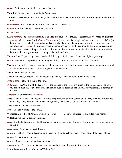*vaisya*. Business person, trader, merchant. See [caste.](#page-51-14)

<span id="page-63-0"></span>**Valmiki**. The saint-poet who wrote the *[Ramayana](#page-58-14)*.

<span id="page-63-8"></span>**Vamana**. Dwarf incarnation of [Vishnu,](#page-64-3) who asked for three feet of land from Emperor [Bali](#page-49-16) and humbled [Bali'](#page-49-16)s pride.

*vanaprastha*. Forest-dweller, hermit; third of the four stages of life.

*vandana*. Praise, worship, veneration, salutation.

*varna*. [Caste](#page-51-14).

*varna dharma*. The Hindu community is divided into four social groups, or [castes](#page-51-14) (*varnas*), based on qualities (*[gunas](#page-53-11)*) and vocations: (1) *Brahmana* (the *[brahmin](#page-51-3)s*), the custodian of spiritual and moral role), (2) *kshatriya*, the warrior group, which rules and defends the land), (3) *vaisya*, the group dealing with commerce, business, and trade, and (4) *sudra*, the group devoted to labour and service to the community. Each *varna* has its own *[dharmic](#page-52-10)* restrictions and regulations that strive to canalise impulses and instinct into fields that are special to their place in society, controls pertaining to the duties of the caste.

<span id="page-63-6"></span>**Varuna**. Chief *Rig-vedic* god associated with Mitra; god of rain, water, the ocean, night; a great sage.

*vasana*. Inclination, impression of anything remaining in the subconscious mind from past action.

<span id="page-63-11"></span>**Vasishta**. One of the greatest *[rishis](#page-59-5)* (sages) of ancient times; priest of the solar race of kings; revealer of several *[Vedic](#page-63-3)* hymns. Had sacred, wishfulfilling cow called Nandini.

<span id="page-63-10"></span>**Vasudeva**. Father of [Krishna.](#page-55-5)

<span id="page-63-7"></span>*Veda*. Knowledge, wisdom. This knowledge is generally viewed as being given in the *Vedas*.

*Veda-matha*. The mother that is the *[Veda](#page-63-7)*.

<span id="page-63-5"></span>*Vedanta*. Means "the end of the *Vedas*". It is the essence of the *Vedas* enshrined in the *[Upanishads](#page-62-1)*. The philosophy of non-dualism, or qualified non-dualism, or dualism based on the *[Upanishadic](#page-62-1)* teachings, is denoted by this term.

*Vedantic*. Of or pertaining to *[Vedanta](#page-63-5)*.

<span id="page-63-1"></span>*Vedas*. The oldest and the holiest of the Hindu scriptures, the primary source of authority in Hindu religion and philosophy. They are four in number: the *[Rig-Veda](#page-59-18)*, *Sama-Veda*, *Yajur-Veda*, and *Atharva-Veda*.

*Veda-vidya*. Knowledge of the *[Vedas.](#page-63-1)*

<span id="page-63-3"></span>*Vedic*. Of your relating to the *Vedas*.

**Vibhishana**. Brother of [Ravana;](#page-59-23) Demon chief who represented pure mindedness and sided with [Rama](#page-58-5).

<span id="page-63-9"></span>**Vidarbha**. An ancient country in India.

*vidya*. Spiritual education, spiritual knowledge, learning, that which illumines, that which gives light, supreme teaching.

*vidya-maya*. Knowledge-based illusion.

*vi-jnana*. Highest wisdom; discriminating faculty of the intellect; spiritual wisdom beyond the material plane.

*vi-kara*. Transformation, change.

*vinaya*. Modest conduct, discretion, humility.

<span id="page-63-2"></span>*Virat-swarupa*. The Lord in His form as manifested universe; the cosmic form of God.

<span id="page-63-4"></span>*Vishnoh-smarana*. Remembrance of [Vishnu,](#page-64-3) God.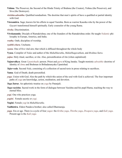- <span id="page-64-3"></span>**Vishnu**. The Preserver, the Second of the Hindu Trinity of Brahma (the Creator), Vishnu (the Preserver), and [Siva](#page-61-0) (the Destroyer).
- *visishta-adwaitha*. Qualified nondualism. The doctrine that men's spirits of have a qualified or partial identity with God.
- <span id="page-64-2"></span>**Viswamitra**. Sage; known for his efforts to equal [Vasishta](#page-63-11). Born as warrior Kausika who by the power of the *[Gayatri](#page-52-18)* transformed himself spiritually. Early counselor of the young [Rama](#page-58-5).

*viveka*. Discrimination.

<span id="page-64-0"></span>**Vivekananda**. Disciple of [Ramakrishna;](#page-58-15) one of the founders of the [Ramakrishna](#page-58-15) order. He taught *[Vedantic](#page-63-5)* philosophy in Europe, America, and India.

*vratha*. Oath; discipline of worship.

*vyabhi-chara*. Unchaste.

*vyana*. One of five vital airs; that which is diffused throughout the whole body

<span id="page-64-4"></span>**Vyasa**. Compiler of *[Vedas](#page-63-1)* and author of the *[Mahabharatha](#page-55-15)*, *Mahabhagavatham*, and *[Brahma Sutra](#page-51-19)*.

*yajna*. Holy ritual, sacrifice, or rite. Also, personification of rite (when capitalized)

**Yajnavalkya**. Great *[Upanishadic](#page-62-3)* person. Priest and *[guru](#page-53-0)* of King [Janaka.](#page-53-7) Taught monistic *[adwaithic](#page-48-9)* doctrine of identity of *[Atma](#page-49-0)* and [Brahman](#page-50-1) in [Brihadaranyaka Upanishad.](#page-51-20)

*Yajur-veda*. Second *[Veda](#page-63-1)*, consisting of a collection of sacred texts in prose relating to sacrifices.

<span id="page-64-1"></span>**Yama**. God of Death; death personified.

*yoga*. Union with God. Also the path by which this union of the soul with God is achieved. The four important paths of *yoga* are knowledge, action, meditation, and devotion.

<span id="page-64-6"></span>*Yoga Sutras*. An aphoristic treatise on *yoga* by [Patanjali](#page-57-16).

*Yoga-vasishta*. Sacred work in the form of dialogue between [Vasishta](#page-63-11) and his pupil [Rama,](#page-58-5) teaching the way to eternal bliss.

*yogi*. One who practices yoga.

*yogini*. Female ascetic or *yogi*.

**Yogini**. Female *yogi* in *[Mahabharatha](#page-55-15)*.

<span id="page-64-5"></span>**Yudhistira**. Eldest [Pandava](#page-57-13) brother; also called Dharmaraja.

*yuga*. Era or age. There is a cycle of four *yugas*: the *Kritha yuga*, *Thretha yuga*, *Dwapara yuga*, and *Kali yuga*. Present age is the *Kali yuga.*